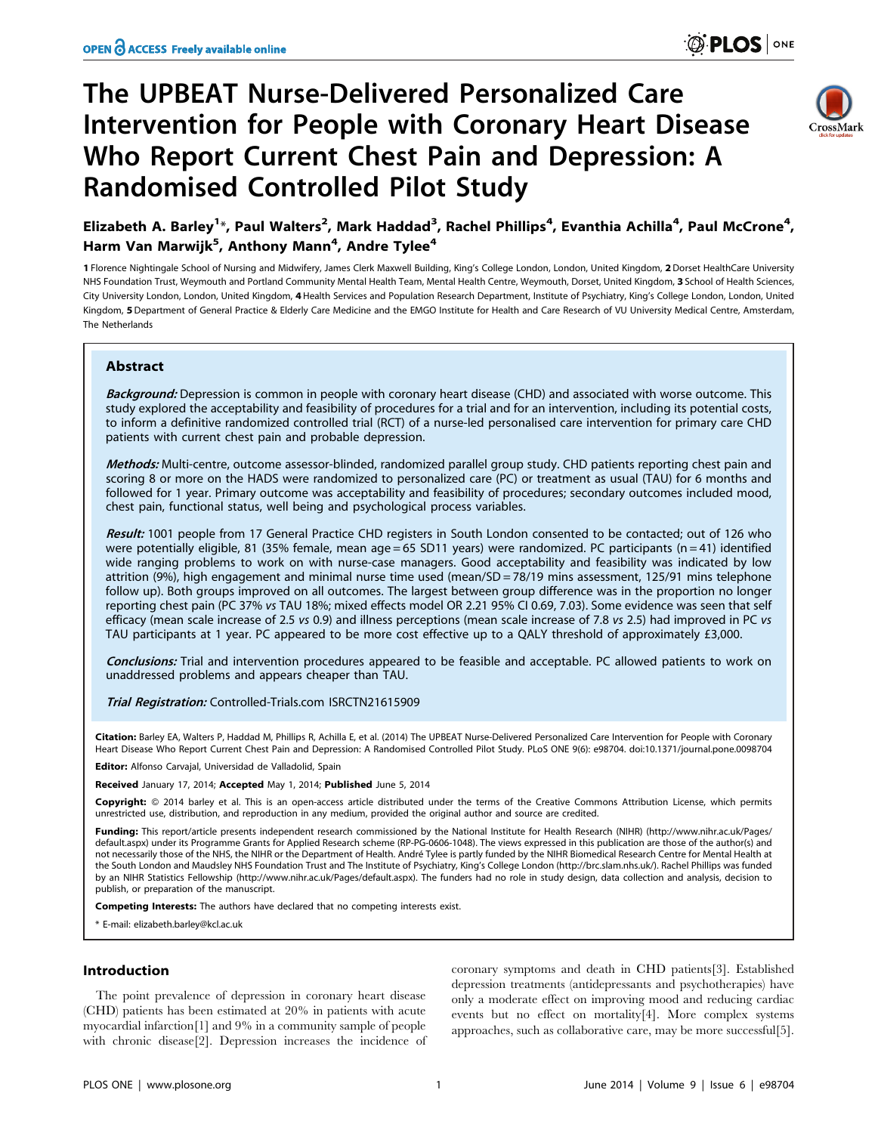# The UPBEAT Nurse-Delivered Personalized Care Intervention for People with Coronary Heart Disease Who Report Current Chest Pain and Depression: A Randomised Controlled Pilot Study



Elizabeth A. Barley<sup>1\*</sup>, Paul Walters<sup>2</sup>, Mark Haddad<sup>3</sup>, Rachel Phillips<sup>4</sup>, Evanthia Achilla<sup>4</sup>, Paul McCrone<sup>4</sup>, Harm Van Marwijk<sup>5</sup>, Anthony Mann<sup>4</sup>, Andre Tylee<sup>4</sup>

1 Florence Nightingale School of Nursing and Midwifery, James Clerk Maxwell Building, King's College London, London, United Kingdom, 2 Dorset HealthCare University NHS Foundation Trust, Weymouth and Portland Community Mental Health Team, Mental Health Centre, Weymouth, Dorset, United Kingdom, 3 School of Health Sciences, City University London, London, United Kingdom, 4Health Services and Population Research Department, Institute of Psychiatry, King's College London, London, United Kingdom, 5 Department of General Practice & Elderly Care Medicine and the EMGO Institute for Health and Care Research of VU University Medical Centre, Amsterdam, The Netherlands

# Abstract

Background: Depression is common in people with coronary heart disease (CHD) and associated with worse outcome. This study explored the acceptability and feasibility of procedures for a trial and for an intervention, including its potential costs, to inform a definitive randomized controlled trial (RCT) of a nurse-led personalised care intervention for primary care CHD patients with current chest pain and probable depression.

Methods: Multi-centre, outcome assessor-blinded, randomized parallel group study. CHD patients reporting chest pain and scoring 8 or more on the HADS were randomized to personalized care (PC) or treatment as usual (TAU) for 6 months and followed for 1 year. Primary outcome was acceptability and feasibility of procedures; secondary outcomes included mood, chest pain, functional status, well being and psychological process variables.

Result: 1001 people from 17 General Practice CHD registers in South London consented to be contacted; out of 126 who were potentially eligible, 81 (35% female, mean age = 65 SD11 years) were randomized. PC participants (n = 41) identified wide ranging problems to work on with nurse-case managers. Good acceptability and feasibility was indicated by low attrition (9%), high engagement and minimal nurse time used (mean/SD = 78/19 mins assessment, 125/91 mins telephone follow up). Both groups improved on all outcomes. The largest between group difference was in the proportion no longer reporting chest pain (PC 37% vs TAU 18%; mixed effects model OR 2.21 95% CI 0.69, 7.03). Some evidence was seen that self efficacy (mean scale increase of 2.5 vs 0.9) and illness perceptions (mean scale increase of 7.8 vs 2.5) had improved in PC vs TAU participants at 1 year. PC appeared to be more cost effective up to a QALY threshold of approximately £3,000.

Conclusions: Trial and intervention procedures appeared to be feasible and acceptable. PC allowed patients to work on unaddressed problems and appears cheaper than TAU.

Trial Registration: Controlled-Trials.com [ISRCTN21615909](http://www.controlled-trials.com/ISRCTN21615909)

Citation: Barley EA, Walters P, Haddad M, Phillips R, Achilla E, et al. (2014) The UPBEAT Nurse-Delivered Personalized Care Intervention for People with Coronary Heart Disease Who Report Current Chest Pain and Depression: A Randomised Controlled Pilot Study. PLoS ONE 9(6): e98704. doi:10.1371/journal.pone.0098704

Editor: Alfonso Carvajal, Universidad de Valladolid, Spain

Received January 17, 2014; Accepted May 1, 2014; Published June 5, 2014

Copyright: © 2014 barley et al. This is an open-access article distributed under the terms of the [Creative Commons Attribution License](http://creativecommons.org/licenses/by/4.0/), which permits unrestricted use, distribution, and reproduction in any medium, provided the original author and source are credited.

Funding: This report/article presents independent research commissioned by the National Institute for Health Research (NIHR) (http://www.nihr.ac.uk/Pages/ default.aspx) under its Programme Grants for Applied Research scheme (RP-PG-0606-1048). The views expressed in this publication are those of the author(s) and not necessarily those of the NHS, the NIHR or the Department of Health. Andre´ Tylee is partly funded by the NIHR Biomedical Research Centre for Mental Health at the South London and Maudsley NHS Foundation Trust and The Institute of Psychiatry, King's College London (http://brc.slam.nhs.uk/). Rachel Phillips was funded by an NIHR Statistics Fellowship (http://www.nihr.ac.uk/Pages/default.aspx). The funders had no role in study design, data collection and analysis, decision to publish, or preparation of the manuscript.

Competing Interests: The authors have declared that no competing interests exist.

\* E-mail: elizabeth.barley@kcl.ac.uk

# Introduction

The point prevalence of depression in coronary heart disease (CHD) patients has been estimated at 20% in patients with acute myocardial infarction[1] and 9% in a community sample of people with chronic disease[2]. Depression increases the incidence of coronary symptoms and death in CHD patients[3]. Established depression treatments (antidepressants and psychotherapies) have only a moderate effect on improving mood and reducing cardiac events but no effect on mortality[4]. More complex systems approaches, such as collaborative care, may be more successful[5].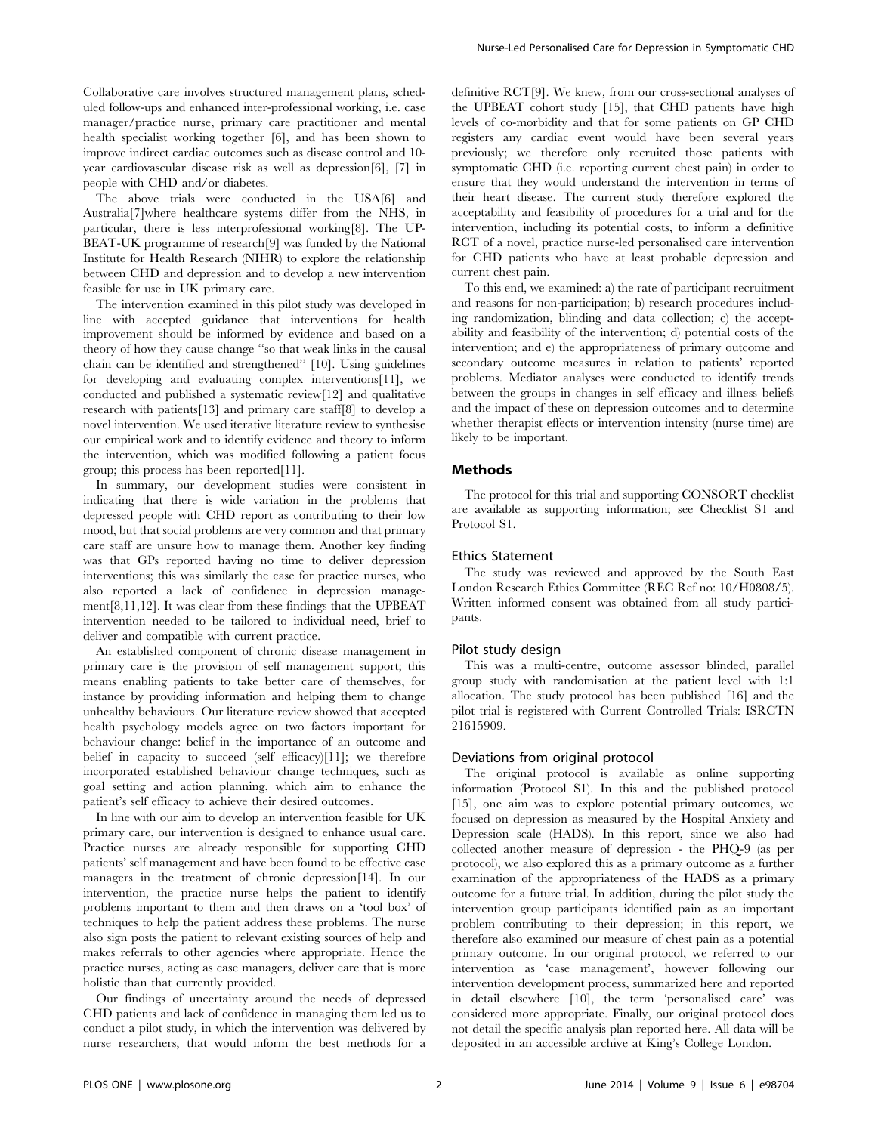Collaborative care involves structured management plans, scheduled follow-ups and enhanced inter-professional working, i.e. case manager/practice nurse, primary care practitioner and mental health specialist working together [6], and has been shown to improve indirect cardiac outcomes such as disease control and 10 year cardiovascular disease risk as well as depression[6], [7] in people with CHD and/or diabetes.

The above trials were conducted in the USA[6] and Australia[7]where healthcare systems differ from the NHS, in particular, there is less interprofessional working[8]. The UP-BEAT-UK programme of research[9] was funded by the National Institute for Health Research (NIHR) to explore the relationship between CHD and depression and to develop a new intervention feasible for use in UK primary care.

The intervention examined in this pilot study was developed in line with accepted guidance that interventions for health improvement should be informed by evidence and based on a theory of how they cause change ''so that weak links in the causal chain can be identified and strengthened'' [10]. Using guidelines for developing and evaluating complex interventions[11], we conducted and published a systematic review[12] and qualitative research with patients[13] and primary care staff[8] to develop a novel intervention. We used iterative literature review to synthesise our empirical work and to identify evidence and theory to inform the intervention, which was modified following a patient focus group; this process has been reported[11].

In summary, our development studies were consistent in indicating that there is wide variation in the problems that depressed people with CHD report as contributing to their low mood, but that social problems are very common and that primary care staff are unsure how to manage them. Another key finding was that GPs reported having no time to deliver depression interventions; this was similarly the case for practice nurses, who also reported a lack of confidence in depression management[8,11,12]. It was clear from these findings that the UPBEAT intervention needed to be tailored to individual need, brief to deliver and compatible with current practice.

An established component of chronic disease management in primary care is the provision of self management support; this means enabling patients to take better care of themselves, for instance by providing information and helping them to change unhealthy behaviours. Our literature review showed that accepted health psychology models agree on two factors important for behaviour change: belief in the importance of an outcome and belief in capacity to succeed (self efficacy)[11]; we therefore incorporated established behaviour change techniques, such as goal setting and action planning, which aim to enhance the patient's self efficacy to achieve their desired outcomes.

In line with our aim to develop an intervention feasible for UK primary care, our intervention is designed to enhance usual care. Practice nurses are already responsible for supporting CHD patients' self management and have been found to be effective case managers in the treatment of chronic depression[14]. In our intervention, the practice nurse helps the patient to identify problems important to them and then draws on a 'tool box' of techniques to help the patient address these problems. The nurse also sign posts the patient to relevant existing sources of help and makes referrals to other agencies where appropriate. Hence the practice nurses, acting as case managers, deliver care that is more holistic than that currently provided.

Our findings of uncertainty around the needs of depressed CHD patients and lack of confidence in managing them led us to conduct a pilot study, in which the intervention was delivered by nurse researchers, that would inform the best methods for a

definitive RCT[9]. We knew, from our cross-sectional analyses of the UPBEAT cohort study [15], that CHD patients have high levels of co-morbidity and that for some patients on GP CHD registers any cardiac event would have been several years previously; we therefore only recruited those patients with symptomatic CHD (i.e. reporting current chest pain) in order to ensure that they would understand the intervention in terms of their heart disease. The current study therefore explored the acceptability and feasibility of procedures for a trial and for the intervention, including its potential costs, to inform a definitive RCT of a novel, practice nurse-led personalised care intervention for CHD patients who have at least probable depression and current chest pain.

To this end, we examined: a) the rate of participant recruitment and reasons for non-participation; b) research procedures including randomization, blinding and data collection; c) the acceptability and feasibility of the intervention; d) potential costs of the intervention; and e) the appropriateness of primary outcome and secondary outcome measures in relation to patients' reported problems. Mediator analyses were conducted to identify trends between the groups in changes in self efficacy and illness beliefs and the impact of these on depression outcomes and to determine whether therapist effects or intervention intensity (nurse time) are likely to be important.

# Methods

The protocol for this trial and supporting CONSORT checklist are available as supporting information; see Checklist S1 and Protocol S1.

# Ethics Statement

The study was reviewed and approved by the South East London Research Ethics Committee (REC Ref no: 10/H0808/5). Written informed consent was obtained from all study participants.

## Pilot study design

This was a multi-centre, outcome assessor blinded, parallel group study with randomisation at the patient level with 1:1 allocation. The study protocol has been published [16] and the pilot trial is registered with Current Controlled Trials: ISRCTN 21615909.

## Deviations from original protocol

The original protocol is available as online supporting information (Protocol S1). In this and the published protocol [15], one aim was to explore potential primary outcomes, we focused on depression as measured by the Hospital Anxiety and Depression scale (HADS). In this report, since we also had collected another measure of depression - the PHQ-9 (as per protocol), we also explored this as a primary outcome as a further examination of the appropriateness of the HADS as a primary outcome for a future trial. In addition, during the pilot study the intervention group participants identified pain as an important problem contributing to their depression; in this report, we therefore also examined our measure of chest pain as a potential primary outcome. In our original protocol, we referred to our intervention as 'case management', however following our intervention development process, summarized here and reported in detail elsewhere [10], the term 'personalised care' was considered more appropriate. Finally, our original protocol does not detail the specific analysis plan reported here. All data will be deposited in an accessible archive at King's College London.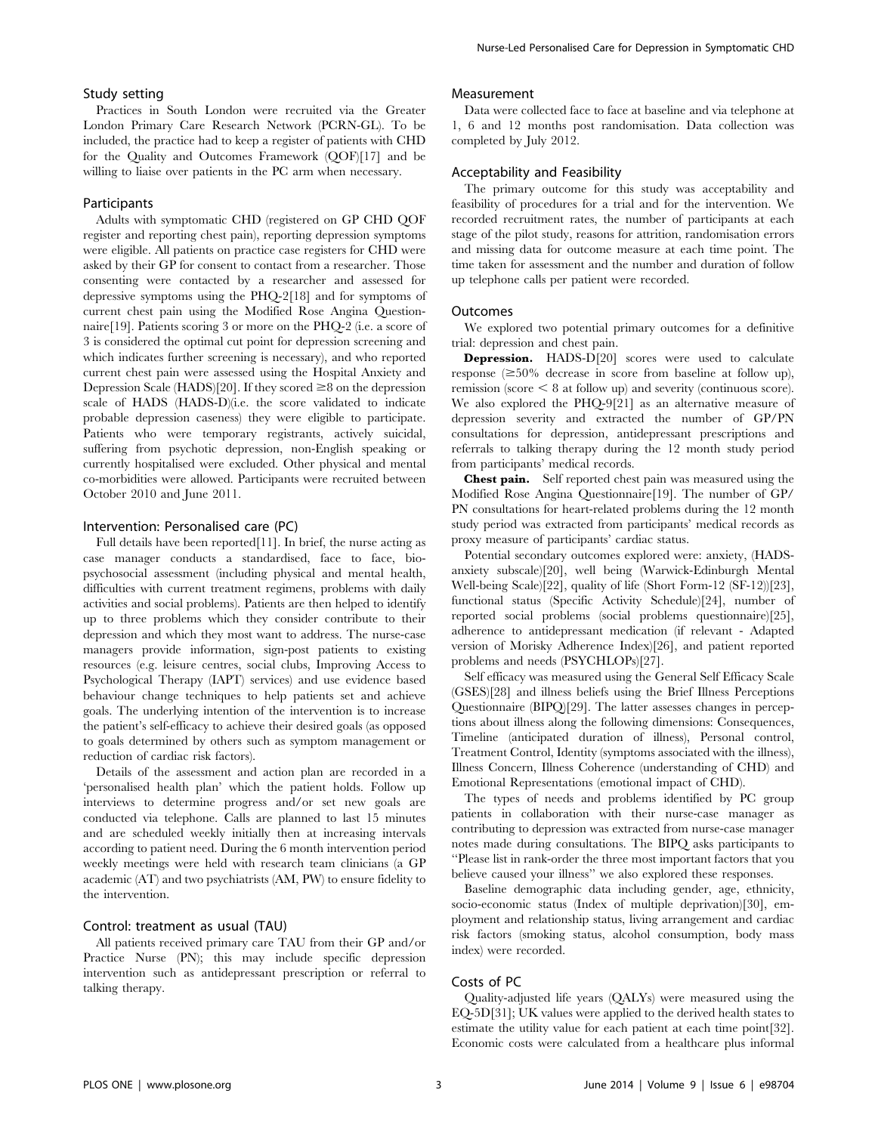# Study setting

Practices in South London were recruited via the Greater London Primary Care Research Network (PCRN-GL). To be included, the practice had to keep a register of patients with CHD for the Quality and Outcomes Framework (QOF)[17] and be willing to liaise over patients in the PC arm when necessary.

# Participants

Adults with symptomatic CHD (registered on GP CHD QOF register and reporting chest pain), reporting depression symptoms were eligible. All patients on practice case registers for CHD were asked by their GP for consent to contact from a researcher. Those consenting were contacted by a researcher and assessed for depressive symptoms using the PHQ-2[18] and for symptoms of current chest pain using the Modified Rose Angina Questionnaire[19]. Patients scoring 3 or more on the PHQ-2 (i.e. a score of 3 is considered the optimal cut point for depression screening and which indicates further screening is necessary), and who reported current chest pain were assessed using the Hospital Anxiety and Depression Scale (HADS)[20]. If they scored  $\geq 8$  on the depression scale of HADS (HADS-D)(i.e. the score validated to indicate probable depression caseness) they were eligible to participate. Patients who were temporary registrants, actively suicidal, suffering from psychotic depression, non-English speaking or currently hospitalised were excluded. Other physical and mental co-morbidities were allowed. Participants were recruited between October 2010 and June 2011.

#### Intervention: Personalised care (PC)

Full details have been reported[11]. In brief, the nurse acting as case manager conducts a standardised, face to face, biopsychosocial assessment (including physical and mental health, difficulties with current treatment regimens, problems with daily activities and social problems). Patients are then helped to identify up to three problems which they consider contribute to their depression and which they most want to address. The nurse-case managers provide information, sign-post patients to existing resources (e.g. leisure centres, social clubs, Improving Access to Psychological Therapy (IAPT) services) and use evidence based behaviour change techniques to help patients set and achieve goals. The underlying intention of the intervention is to increase the patient's self-efficacy to achieve their desired goals (as opposed to goals determined by others such as symptom management or reduction of cardiac risk factors).

Details of the assessment and action plan are recorded in a 'personalised health plan' which the patient holds. Follow up interviews to determine progress and/or set new goals are conducted via telephone. Calls are planned to last 15 minutes and are scheduled weekly initially then at increasing intervals according to patient need. During the 6 month intervention period weekly meetings were held with research team clinicians (a GP academic (AT) and two psychiatrists (AM, PW) to ensure fidelity to the intervention.

# Control: treatment as usual (TAU)

All patients received primary care TAU from their GP and/or Practice Nurse (PN); this may include specific depression intervention such as antidepressant prescription or referral to talking therapy.

## Measurement

Data were collected face to face at baseline and via telephone at 1, 6 and 12 months post randomisation. Data collection was completed by July 2012.

## Acceptability and Feasibility

The primary outcome for this study was acceptability and feasibility of procedures for a trial and for the intervention. We recorded recruitment rates, the number of participants at each stage of the pilot study, reasons for attrition, randomisation errors and missing data for outcome measure at each time point. The time taken for assessment and the number and duration of follow up telephone calls per patient were recorded.

## Outcomes

We explored two potential primary outcomes for a definitive trial: depression and chest pain.

Depression. HADS-D[20] scores were used to calculate response  $\approx 50\%$  decrease in score from baseline at follow up), remission (score  $\leq 8$  at follow up) and severity (continuous score). We also explored the PHQ-9[21] as an alternative measure of depression severity and extracted the number of GP/PN consultations for depression, antidepressant prescriptions and referrals to talking therapy during the 12 month study period from participants' medical records.

Chest pain. Self reported chest pain was measured using the Modified Rose Angina Questionnaire[19]. The number of GP/ PN consultations for heart-related problems during the 12 month study period was extracted from participants' medical records as proxy measure of participants' cardiac status.

Potential secondary outcomes explored were: anxiety, (HADSanxiety subscale)[20], well being (Warwick-Edinburgh Mental Well-being Scale)[22], quality of life (Short Form-12 (SF-12))[23], functional status (Specific Activity Schedule)[24], number of reported social problems (social problems questionnaire)[25], adherence to antidepressant medication (if relevant - Adapted version of Morisky Adherence Index)[26], and patient reported problems and needs (PSYCHLOPs)[27].

Self efficacy was measured using the General Self Efficacy Scale (GSES)[28] and illness beliefs using the Brief Illness Perceptions Questionnaire (BIPQ)[29]. The latter assesses changes in perceptions about illness along the following dimensions: Consequences, Timeline (anticipated duration of illness), Personal control, Treatment Control, Identity (symptoms associated with the illness), Illness Concern, Illness Coherence (understanding of CHD) and Emotional Representations (emotional impact of CHD).

The types of needs and problems identified by PC group patients in collaboration with their nurse-case manager as contributing to depression was extracted from nurse-case manager notes made during consultations. The BIPQ asks participants to ''Please list in rank-order the three most important factors that you believe caused your illness'' we also explored these responses.

Baseline demographic data including gender, age, ethnicity, socio-economic status (Index of multiple deprivation)[30], employment and relationship status, living arrangement and cardiac risk factors (smoking status, alcohol consumption, body mass index) were recorded.

# Costs of PC

Quality-adjusted life years (QALYs) were measured using the EQ-5D[31]; UK values were applied to the derived health states to estimate the utility value for each patient at each time point[32]. Economic costs were calculated from a healthcare plus informal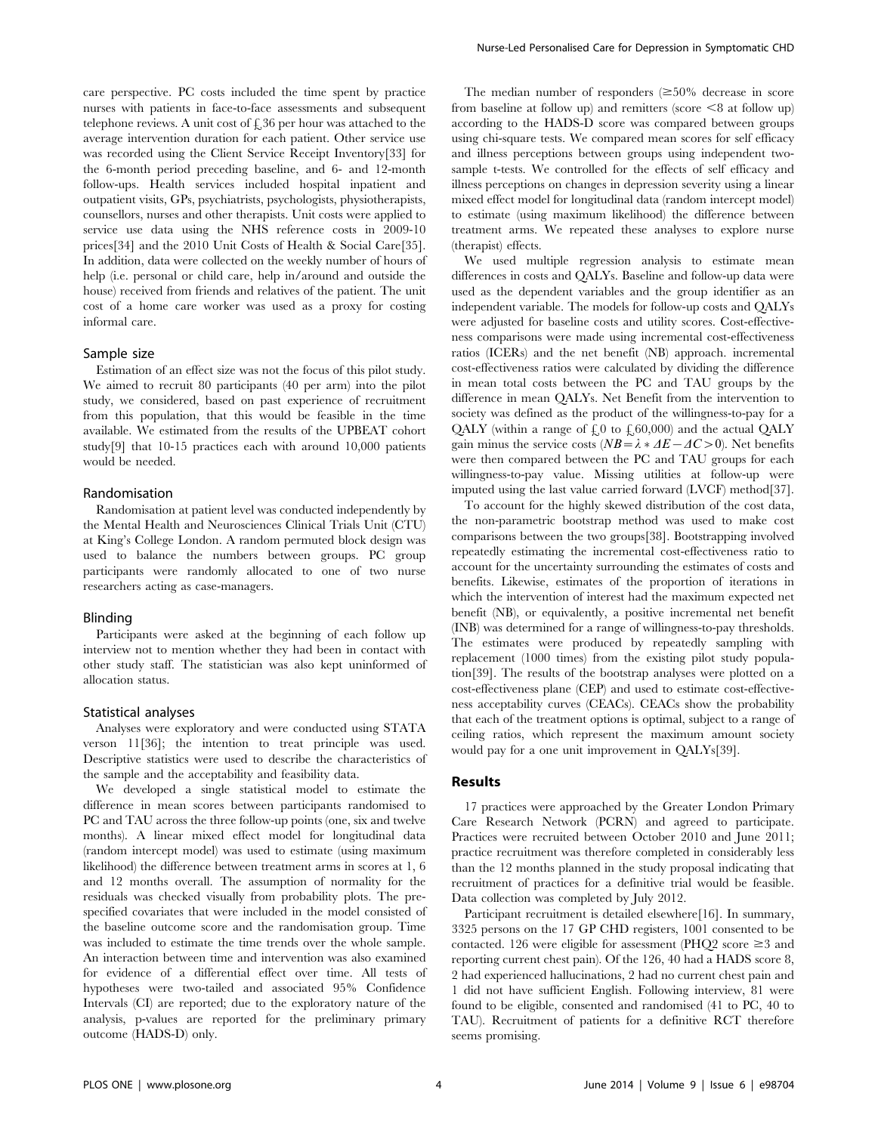care perspective. PC costs included the time spent by practice nurses with patients in face-to-face assessments and subsequent telephone reviews. A unit cost of £36 per hour was attached to the average intervention duration for each patient. Other service use was recorded using the Client Service Receipt Inventory[33] for the 6-month period preceding baseline, and 6- and 12-month follow-ups. Health services included hospital inpatient and outpatient visits, GPs, psychiatrists, psychologists, physiotherapists, counsellors, nurses and other therapists. Unit costs were applied to service use data using the NHS reference costs in 2009-10 prices[34] and the 2010 Unit Costs of Health & Social Care[35]. In addition, data were collected on the weekly number of hours of help (i.e. personal or child care, help in/around and outside the house) received from friends and relatives of the patient. The unit cost of a home care worker was used as a proxy for costing informal care.

## Sample size

Estimation of an effect size was not the focus of this pilot study. We aimed to recruit 80 participants (40 per arm) into the pilot study, we considered, based on past experience of recruitment from this population, that this would be feasible in the time available. We estimated from the results of the UPBEAT cohort study[9] that 10-15 practices each with around 10,000 patients would be needed.

#### Randomisation

Randomisation at patient level was conducted independently by the Mental Health and Neurosciences Clinical Trials Unit (CTU) at King's College London. A random permuted block design was used to balance the numbers between groups. PC group participants were randomly allocated to one of two nurse researchers acting as case-managers.

#### Blinding

Participants were asked at the beginning of each follow up interview not to mention whether they had been in contact with other study staff. The statistician was also kept uninformed of allocation status.

#### Statistical analyses

Analyses were exploratory and were conducted using STATA verson 11[36]; the intention to treat principle was used. Descriptive statistics were used to describe the characteristics of the sample and the acceptability and feasibility data.

We developed a single statistical model to estimate the difference in mean scores between participants randomised to PC and TAU across the three follow-up points (one, six and twelve months). A linear mixed effect model for longitudinal data (random intercept model) was used to estimate (using maximum likelihood) the difference between treatment arms in scores at 1, 6 and 12 months overall. The assumption of normality for the residuals was checked visually from probability plots. The prespecified covariates that were included in the model consisted of the baseline outcome score and the randomisation group. Time was included to estimate the time trends over the whole sample. An interaction between time and intervention was also examined for evidence of a differential effect over time. All tests of hypotheses were two-tailed and associated 95% Confidence Intervals (CI) are reported; due to the exploratory nature of the analysis, p-values are reported for the preliminary primary outcome (HADS-D) only.

The median number of responders  $(\geq 50\%$  decrease in score from baseline at follow up) and remitters (score  $\leq 8$  at follow up) according to the HADS-D score was compared between groups using chi-square tests. We compared mean scores for self efficacy and illness perceptions between groups using independent twosample t-tests. We controlled for the effects of self efficacy and illness perceptions on changes in depression severity using a linear mixed effect model for longitudinal data (random intercept model) to estimate (using maximum likelihood) the difference between treatment arms. We repeated these analyses to explore nurse (therapist) effects.

We used multiple regression analysis to estimate mean differences in costs and QALYs. Baseline and follow-up data were used as the dependent variables and the group identifier as an independent variable. The models for follow-up costs and QALYs were adjusted for baseline costs and utility scores. Cost-effectiveness comparisons were made using incremental cost-effectiveness ratios (ICERs) and the net benefit (NB) approach. incremental cost-effectiveness ratios were calculated by dividing the difference in mean total costs between the PC and TAU groups by the difference in mean QALYs. Net Benefit from the intervention to society was defined as the product of the willingness-to-pay for a QALY (within a range of  $\text{\emph{f}}\xspace_0000$  and the actual QALY gain minus the service costs ( $NB = \lambda * AE - AC > 0$ ). Net benefits were then compared between the PC and TAU groups for each willingness-to-pay value. Missing utilities at follow-up were imputed using the last value carried forward (LVCF) method[37].

To account for the highly skewed distribution of the cost data, the non-parametric bootstrap method was used to make cost comparisons between the two groups[38]. Bootstrapping involved repeatedly estimating the incremental cost-effectiveness ratio to account for the uncertainty surrounding the estimates of costs and benefits. Likewise, estimates of the proportion of iterations in which the intervention of interest had the maximum expected net benefit (NB), or equivalently, a positive incremental net benefit (INB) was determined for a range of willingness-to-pay thresholds. The estimates were produced by repeatedly sampling with replacement (1000 times) from the existing pilot study population[39]. The results of the bootstrap analyses were plotted on a cost-effectiveness plane (CEP) and used to estimate cost-effectiveness acceptability curves (CEACs). CEACs show the probability that each of the treatment options is optimal, subject to a range of ceiling ratios, which represent the maximum amount society would pay for a one unit improvement in QALYs[39].

## Results

17 practices were approached by the Greater London Primary Care Research Network (PCRN) and agreed to participate. Practices were recruited between October 2010 and June 2011; practice recruitment was therefore completed in considerably less than the 12 months planned in the study proposal indicating that recruitment of practices for a definitive trial would be feasible. Data collection was completed by July 2012.

Participant recruitment is detailed elsewhere<sup>[16]</sup>. In summary, 3325 persons on the 17 GP CHD registers, 1001 consented to be contacted. 126 were eligible for assessment (PHQ2 score  $\geq$ 3 and reporting current chest pain). Of the 126, 40 had a HADS score 8, 2 had experienced hallucinations, 2 had no current chest pain and 1 did not have sufficient English. Following interview, 81 were found to be eligible, consented and randomised (41 to PC, 40 to TAU). Recruitment of patients for a definitive RCT therefore seems promising.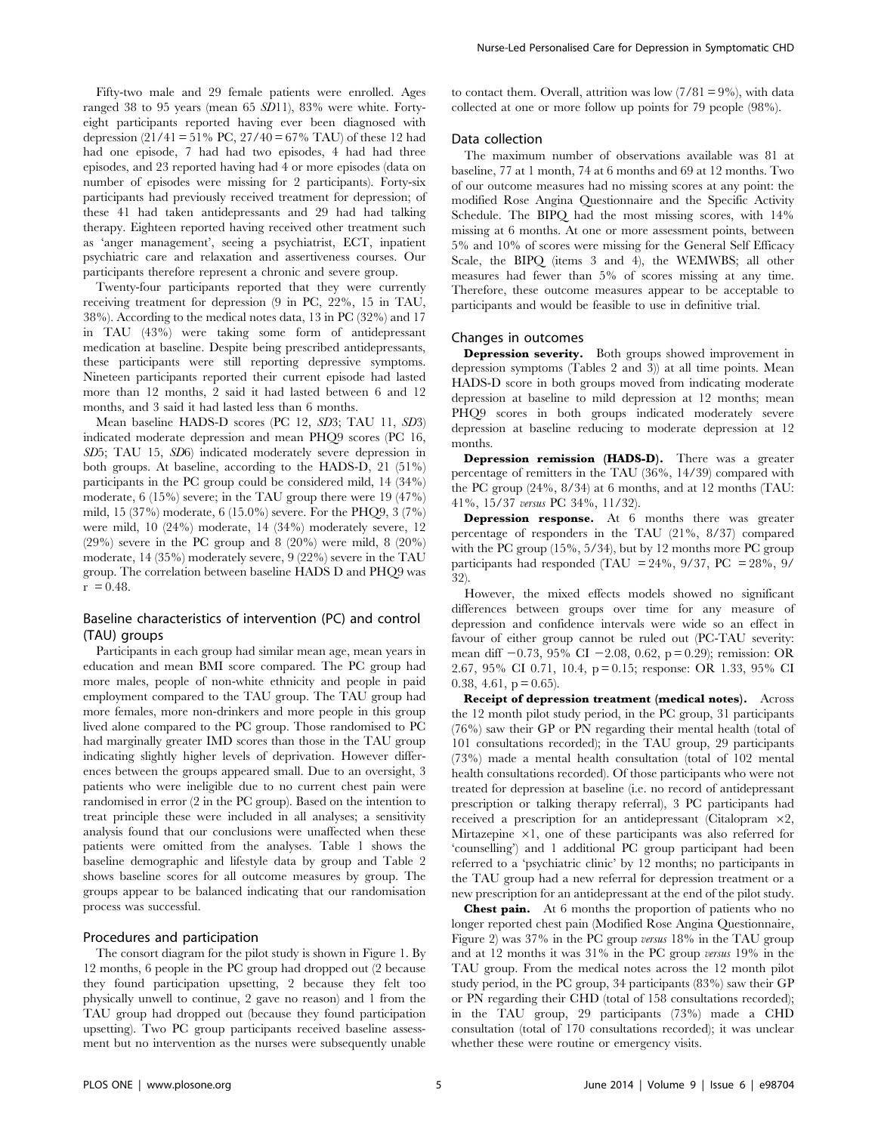Fifty-two male and 29 female patients were enrolled. Ages ranged 38 to 95 years (mean 65 SD11), 83% were white. Fortyeight participants reported having ever been diagnosed with depression  $(21/41 = 51\% \text{ PC}, 27/40 = 67\% \text{ TAU})$  of these 12 had had one episode, 7 had had two episodes, 4 had had three episodes, and 23 reported having had 4 or more episodes (data on number of episodes were missing for 2 participants). Forty-six participants had previously received treatment for depression; of these 41 had taken antidepressants and 29 had had talking therapy. Eighteen reported having received other treatment such as 'anger management', seeing a psychiatrist, ECT, inpatient psychiatric care and relaxation and assertiveness courses. Our participants therefore represent a chronic and severe group.

Twenty-four participants reported that they were currently receiving treatment for depression (9 in PC, 22%, 15 in TAU, 38%). According to the medical notes data, 13 in PC (32%) and 17 in TAU (43%) were taking some form of antidepressant medication at baseline. Despite being prescribed antidepressants, these participants were still reporting depressive symptoms. Nineteen participants reported their current episode had lasted more than 12 months, 2 said it had lasted between 6 and 12 months, and 3 said it had lasted less than 6 months.

Mean baseline HADS-D scores (PC 12, SD3; TAU 11, SD3) indicated moderate depression and mean PHQ9 scores (PC 16, SD5; TAU 15, SD6) indicated moderately severe depression in both groups. At baseline, according to the HADS-D, 21 (51%) participants in the PC group could be considered mild, 14 (34%) moderate, 6 (15%) severe; in the TAU group there were 19 (47%) mild, 15 (37%) moderate, 6 (15.0%) severe. For the PHQ9, 3 (7%) were mild, 10 (24%) moderate, 14 (34%) moderately severe, 12  $(29\%)$  severe in the PC group and 8  $(20\%)$  were mild, 8  $(20\%)$ moderate, 14 (35%) moderately severe, 9 (22%) severe in the TAU group. The correlation between baseline HADS D and PHQ9 was  $r = 0.48$ .

# Baseline characteristics of intervention (PC) and control (TAU) groups

Participants in each group had similar mean age, mean years in education and mean BMI score compared. The PC group had more males, people of non-white ethnicity and people in paid employment compared to the TAU group. The TAU group had more females, more non-drinkers and more people in this group lived alone compared to the PC group. Those randomised to PC had marginally greater IMD scores than those in the TAU group indicating slightly higher levels of deprivation. However differences between the groups appeared small. Due to an oversight, 3 patients who were ineligible due to no current chest pain were randomised in error (2 in the PC group). Based on the intention to treat principle these were included in all analyses; a sensitivity analysis found that our conclusions were unaffected when these patients were omitted from the analyses. Table 1 shows the baseline demographic and lifestyle data by group and Table 2 shows baseline scores for all outcome measures by group. The groups appear to be balanced indicating that our randomisation process was successful.

## Procedures and participation

The consort diagram for the pilot study is shown in Figure 1. By 12 months, 6 people in the PC group had dropped out (2 because they found participation upsetting, 2 because they felt too physically unwell to continue, 2 gave no reason) and 1 from the TAU group had dropped out (because they found participation upsetting). Two PC group participants received baseline assessment but no intervention as the nurses were subsequently unable to contact them. Overall, attrition was low  $(7/81 = 9\%)$ , with data collected at one or more follow up points for 79 people (98%).

## Data collection

The maximum number of observations available was 81 at baseline, 77 at 1 month, 74 at 6 months and 69 at 12 months. Two of our outcome measures had no missing scores at any point: the modified Rose Angina Questionnaire and the Specific Activity Schedule. The BIPQ had the most missing scores, with 14% missing at 6 months. At one or more assessment points, between 5% and 10% of scores were missing for the General Self Efficacy Scale, the BIPQ (items 3 and 4), the WEMWBS; all other measures had fewer than 5% of scores missing at any time. Therefore, these outcome measures appear to be acceptable to participants and would be feasible to use in definitive trial.

## Changes in outcomes

Depression severity. Both groups showed improvement in depression symptoms (Tables 2 and 3)) at all time points. Mean HADS-D score in both groups moved from indicating moderate depression at baseline to mild depression at 12 months; mean PHQ9 scores in both groups indicated moderately severe depression at baseline reducing to moderate depression at 12 months.

Depression remission (HADS-D). There was a greater percentage of remitters in the TAU (36%, 14/39) compared with the PC group (24%, 8/34) at 6 months, and at 12 months (TAU: 41%, 15/37 versus PC 34%, 11/32).

Depression response. At 6 months there was greater percentage of responders in the TAU (21%, 8/37) compared with the PC group (15%, 5/34), but by 12 months more PC group participants had responded (TAU =  $24\%$ , 9/37, PC =  $28\%$ , 9/ 32).

However, the mixed effects models showed no significant differences between groups over time for any measure of depression and confidence intervals were wide so an effect in favour of either group cannot be ruled out (PC-TAU severity: mean diff  $-0.73$ , 95% CI  $-2.08$ , 0.62, p = 0.29); remission: OR 2.67, 95% CI 0.71, 10.4, p = 0.15; response: OR 1.33, 95% CI 0.38, 4.61,  $p = 0.65$ ).

Receipt of depression treatment (medical notes). Across the 12 month pilot study period, in the PC group, 31 participants (76%) saw their GP or PN regarding their mental health (total of 101 consultations recorded); in the TAU group, 29 participants (73%) made a mental health consultation (total of 102 mental health consultations recorded). Of those participants who were not treated for depression at baseline (i.e. no record of antidepressant prescription or talking therapy referral), 3 PC participants had received a prescription for an antidepressant (Citalopram  $\times 2$ , Mirtazepine  $\times 1$ , one of these participants was also referred for 'counselling') and 1 additional PC group participant had been referred to a 'psychiatric clinic' by 12 months; no participants in the TAU group had a new referral for depression treatment or a new prescription for an antidepressant at the end of the pilot study.

**Chest pain.** At 6 months the proportion of patients who no longer reported chest pain (Modified Rose Angina Questionnaire, Figure 2) was 37% in the PC group versus 18% in the TAU group and at 12 months it was 31% in the PC group versus 19% in the TAU group. From the medical notes across the 12 month pilot study period, in the PC group, 34 participants (83%) saw their GP or PN regarding their CHD (total of 158 consultations recorded); in the TAU group, 29 participants (73%) made a CHD consultation (total of 170 consultations recorded); it was unclear whether these were routine or emergency visits.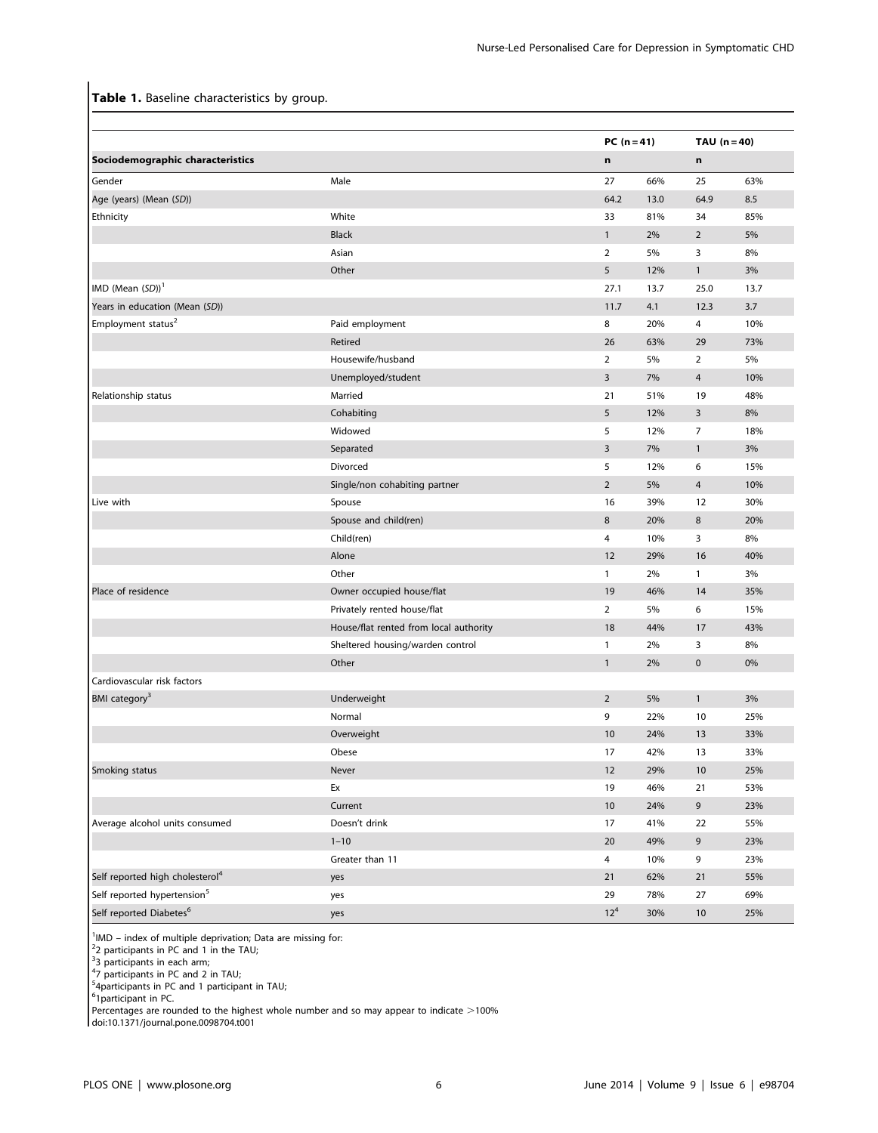Table 1. Baseline characteristics by group.

|                                             |                                        | $PC (n = 41)$   |      | TAU $(n=40)$   |      |
|---------------------------------------------|----------------------------------------|-----------------|------|----------------|------|
| Sociodemographic characteristics            |                                        | n               |      | n              |      |
| Gender                                      | Male                                   | 27              | 66%  | 25             | 63%  |
| Age (years) (Mean (SD))                     |                                        | 64.2            | 13.0 | 64.9           | 8.5  |
| Ethnicity                                   | White                                  | 33              | 81%  | 34             | 85%  |
|                                             | <b>Black</b>                           | $\mathbf{1}$    | 2%   | $\overline{2}$ | 5%   |
|                                             | Asian                                  | $\overline{2}$  | 5%   | 3              | 8%   |
|                                             | Other                                  | 5               | 12%  | $\mathbf{1}$   | 3%   |
| IMD (Mean $(SD)$ ) <sup>1</sup>             |                                        | 27.1            | 13.7 | 25.0           | 13.7 |
| Years in education (Mean (SD))              |                                        | 11.7            | 4.1  | 12.3           | 3.7  |
| Employment status <sup>2</sup>              | Paid employment                        | 8               | 20%  | 4              | 10%  |
|                                             | Retired                                | 26              | 63%  | 29             | 73%  |
|                                             | Housewife/husband                      | $\overline{2}$  | 5%   | $\overline{2}$ | 5%   |
|                                             | Unemployed/student                     | 3               | 7%   | 4              | 10%  |
| Relationship status                         | Married                                | 21              | 51%  | 19             | 48%  |
|                                             | Cohabiting                             | 5               | 12%  | 3              | 8%   |
|                                             | Widowed                                | 5               | 12%  | $\overline{7}$ | 18%  |
|                                             | Separated                              | 3               | 7%   | $\mathbf{1}$   | 3%   |
|                                             | Divorced                               | 5               | 12%  | 6              | 15%  |
|                                             | Single/non cohabiting partner          | $\overline{2}$  | 5%   | $\overline{4}$ | 10%  |
| Live with                                   | Spouse                                 | 16              | 39%  | 12             | 30%  |
|                                             | Spouse and child(ren)                  | $\,8\,$         | 20%  | 8              | 20%  |
|                                             | Child(ren)                             | 4               | 10%  | 3              | 8%   |
|                                             | Alone                                  | 12              | 29%  | 16             | 40%  |
|                                             | Other                                  | $\mathbf{1}$    | 2%   | $\mathbf{1}$   | 3%   |
| Place of residence                          | Owner occupied house/flat              | 19              | 46%  | 14             | 35%  |
|                                             | Privately rented house/flat            | $\overline{2}$  | 5%   | 6              | 15%  |
|                                             | House/flat rented from local authority | 18              | 44%  | 17             | 43%  |
|                                             | Sheltered housing/warden control       | $\mathbf{1}$    | 2%   | 3              | 8%   |
|                                             | Other                                  | $\mathbf{1}$    | 2%   | $\pmb{0}$      | 0%   |
| Cardiovascular risk factors                 |                                        |                 |      |                |      |
| BMI category <sup>3</sup>                   | Underweight                            | $\overline{2}$  | 5%   | $\mathbf{1}$   | 3%   |
|                                             | Normal                                 | 9               | 22%  | 10             | 25%  |
|                                             | Overweight                             | 10              | 24%  | 13             | 33%  |
|                                             | Obese                                  | 17              | 42%  | 13             | 33%  |
| Smoking status                              | Never                                  | 12              | 29%  | 10             | 25%  |
|                                             | Ex                                     | 19              | 46%  | 21             | 53%  |
|                                             | Current                                | 10              | 24%  | 9              | 23%  |
| Average alcohol units consumed              | Doesn't drink                          | 17              | 41%  | 22             | 55%  |
|                                             | $1 - 10$                               | 20              | 49%  | 9              | 23%  |
|                                             | Greater than 11                        | $\overline{4}$  | 10%  | 9              | 23%  |
| Self reported high cholesterol <sup>4</sup> | yes                                    | 21              | 62%  | 21             | 55%  |
| Self reported hypertension <sup>5</sup>     | yes                                    | 29              | 78%  | 27             | 69%  |
| Self reported Diabetes <sup>6</sup>         | yes                                    | 12 <sup>4</sup> | 30%  | $10$           | 25%  |

<sup>1</sup>IMD - index of multiple deprivation; Data are missing for:

<sup>2</sup>2 participants in PC and 1 in the TAU;<br><sup>3</sup>3 participants in each arm;<br><sup>4</sup>7 participants in PC and 2 in TAU;

<sup>5</sup>4 participants in PC and 1 participant in TAU;<br><sup>6</sup>1 participant in PC.

Percentages are rounded to the highest whole number and so may appear to indicate >100%

doi:10.1371/journal.pone.0098704.t001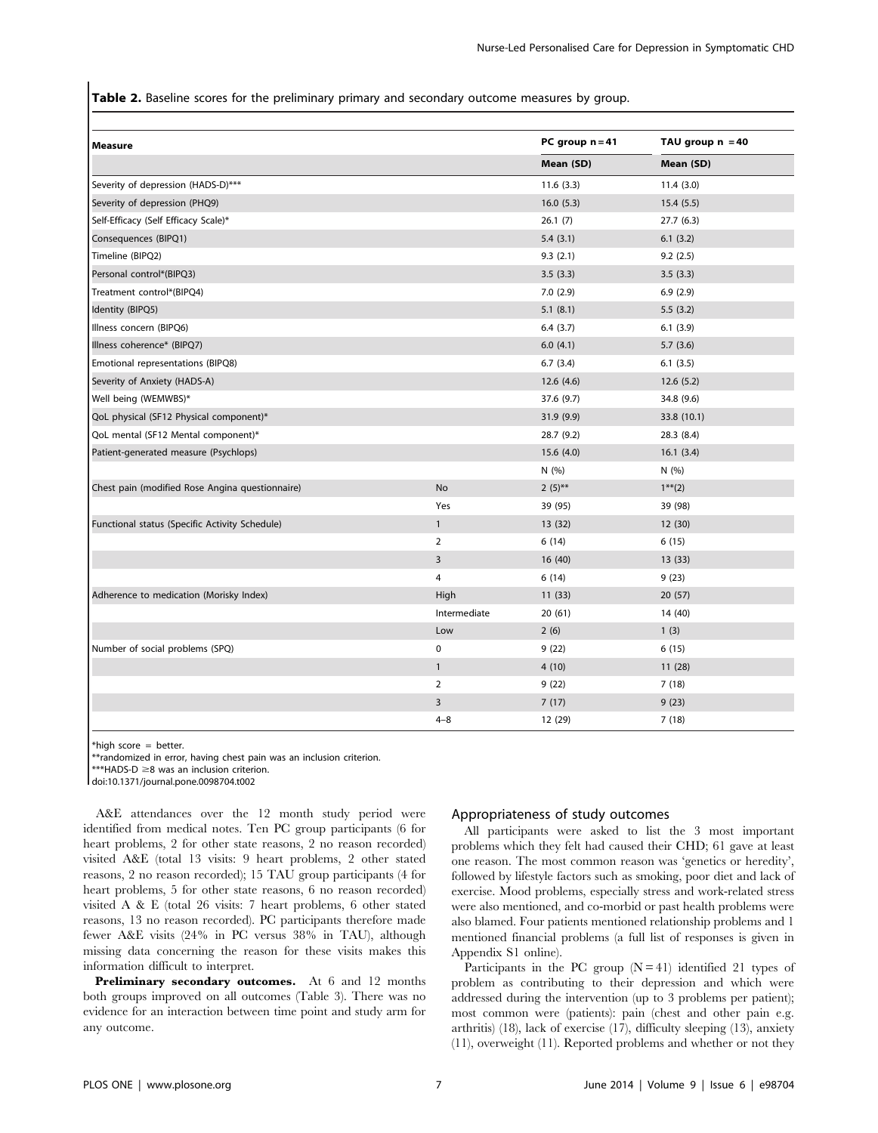Table 2. Baseline scores for the preliminary primary and secondary outcome measures by group.

| Measure                                         |                | PC group $n = 41$ | TAU group $n = 40$ |
|-------------------------------------------------|----------------|-------------------|--------------------|
|                                                 |                | Mean (SD)         | Mean (SD)          |
| Severity of depression (HADS-D)***              |                | 11.6(3.3)         | 11.4(3.0)          |
| Severity of depression (PHQ9)                   |                | 16.0(5.3)         | 15.4(5.5)          |
| Self-Efficacy (Self Efficacy Scale)*            |                | 26.1(7)           | 27.7 (6.3)         |
| Consequences (BIPQ1)                            |                | 5.4(3.1)          | 6.1(3.2)           |
| Timeline (BIPQ2)                                |                | 9.3(2.1)          | 9.2(2.5)           |
| Personal control*(BIPQ3)                        |                | 3.5(3.3)          | 3.5(3.3)           |
| Treatment control*(BIPQ4)                       |                | 7.0(2.9)          | 6.9(2.9)           |
| Identity (BIPQ5)                                |                | 5.1(8.1)          | 5.5(3.2)           |
| Illness concern (BIPQ6)                         |                | 6.4(3.7)          | 6.1(3.9)           |
| Illness coherence* (BIPQ7)                      |                | 6.0(4.1)          | 5.7(3.6)           |
| Emotional representations (BIPQ8)               |                | 6.7(3.4)          | 6.1(3.5)           |
| Severity of Anxiety (HADS-A)                    |                | 12.6(4.6)         | 12.6(5.2)          |
| Well being (WEMWBS)*                            |                | 37.6 (9.7)        | 34.8 (9.6)         |
| QoL physical (SF12 Physical component)*         |                | 31.9 (9.9)        | 33.8 (10.1)        |
| QoL mental (SF12 Mental component)*             |                | 28.7 (9.2)        | 28.3 (8.4)         |
| Patient-generated measure (Psychlops)           |                | 15.6 (4.0)        | 16.1(3.4)          |
|                                                 |                | N(%)              | N(%)               |
| Chest pain (modified Rose Angina questionnaire) | No             | $2(5)$ **         | $1**$ (2)          |
|                                                 | Yes            | 39 (95)           | 39 (98)            |
| Functional status (Specific Activity Schedule)  | $\mathbf{1}$   | 13 (32)           | 12 (30)            |
|                                                 | $\overline{2}$ | 6(14)             | 6(15)              |
|                                                 | 3              | 16(40)            | 13(33)             |
|                                                 | 4              | 6(14)             | 9(23)              |
| Adherence to medication (Morisky Index)         | High           | 11(33)            | 20(57)             |
|                                                 | Intermediate   | 20(61)            | 14 (40)            |
|                                                 | Low            | 2(6)              | 1(3)               |
| Number of social problems (SPQ)                 | 0              | 9(22)             | 6(15)              |
|                                                 | $\mathbf{1}$   | 4(10)             | 11(28)             |
|                                                 | $\overline{2}$ | 9(22)             | 7(18)              |
|                                                 | $\overline{3}$ | 7(17)             | 9(23)              |
|                                                 | $4 - 8$        | 12 (29)           | 7(18)              |

\*high score  $=$  better.

\*\*randomized in error, having chest pain was an inclusion criterion.

\*\*\*HADS-D  $\geq$ 8 was an inclusion criterion.

doi:10.1371/journal.pone.0098704.t002

A&E attendances over the 12 month study period were identified from medical notes. Ten PC group participants (6 for heart problems, 2 for other state reasons, 2 no reason recorded) visited A&E (total 13 visits: 9 heart problems, 2 other stated reasons, 2 no reason recorded); 15 TAU group participants (4 for heart problems, 5 for other state reasons, 6 no reason recorded) visited A & E (total 26 visits: 7 heart problems, 6 other stated reasons, 13 no reason recorded). PC participants therefore made fewer A&E visits (24% in PC versus 38% in TAU), although missing data concerning the reason for these visits makes this information difficult to interpret.

Preliminary secondary outcomes. At 6 and 12 months both groups improved on all outcomes (Table 3). There was no evidence for an interaction between time point and study arm for any outcome.

## Appropriateness of study outcomes

All participants were asked to list the 3 most important problems which they felt had caused their CHD; 61 gave at least one reason. The most common reason was 'genetics or heredity', followed by lifestyle factors such as smoking, poor diet and lack of exercise. Mood problems, especially stress and work-related stress were also mentioned, and co-morbid or past health problems were also blamed. Four patients mentioned relationship problems and 1 mentioned financial problems (a full list of responses is given in Appendix S1 online).

Participants in the PC group  $(N = 41)$  identified 21 types of problem as contributing to their depression and which were addressed during the intervention (up to 3 problems per patient); most common were (patients): pain (chest and other pain e.g. arthritis) (18), lack of exercise (17), difficulty sleeping (13), anxiety (11), overweight (11). Reported problems and whether or not they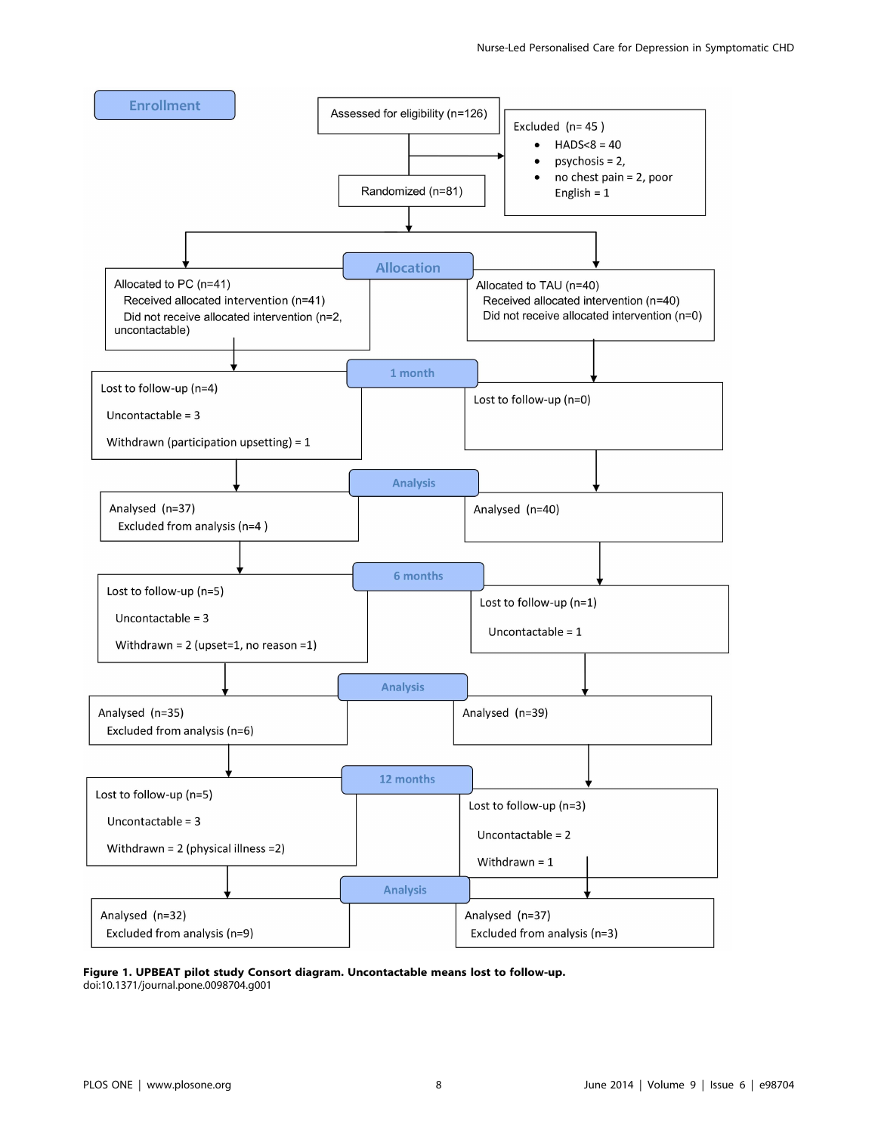

Figure 1. UPBEAT pilot study Consort diagram. Uncontactable means lost to follow-up.

doi:10.1371/journal.pone.0098704.g001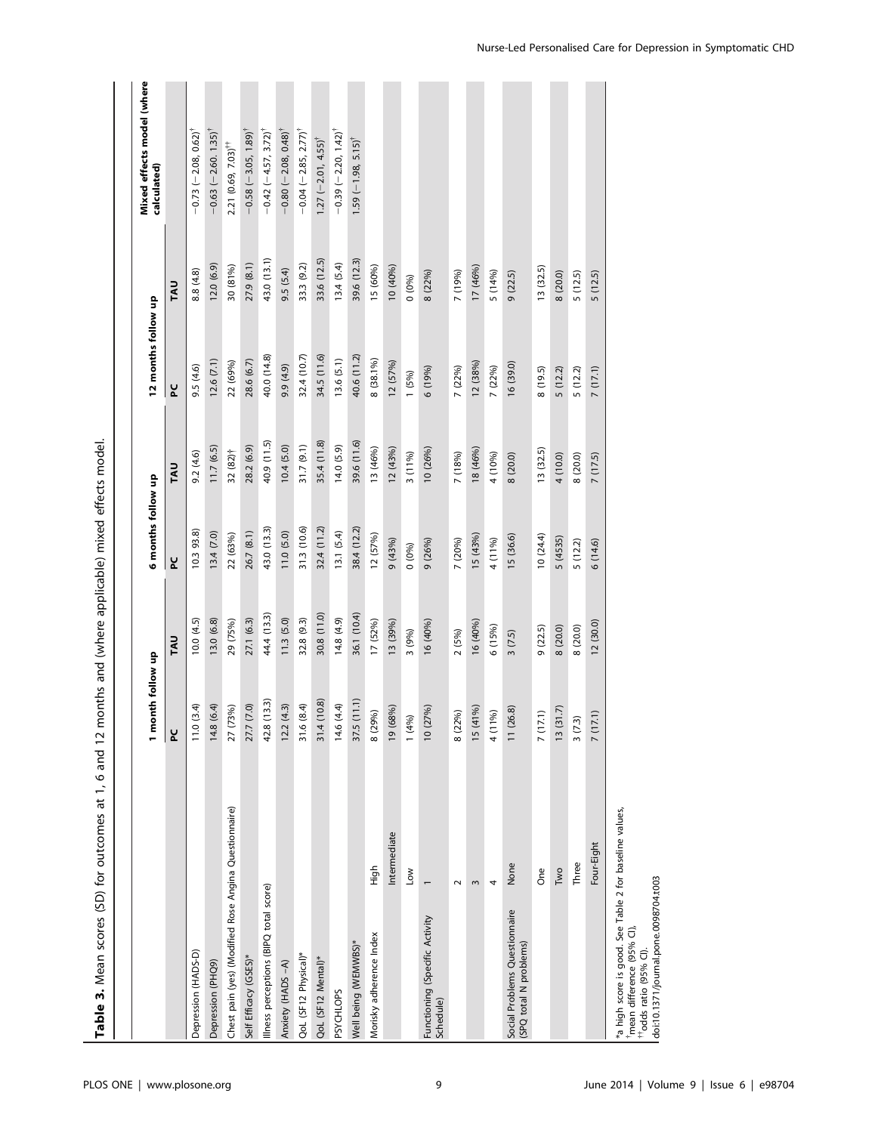| $-0.42(-4.57, 3.72)^{t}$<br>$-0.04$ $(-2.85, 2.77)^*$<br>$-0.39$ $(-2.20, 1.42)^{\dagger}$<br>$-0.73$ $(-2.08, 0.62)^{\dagger}$<br>$-0.63$ $(-2.60.1.35)^{\dagger}$<br>$-0.58$ $(-3.05, 1.89)^{\dagger}$<br>$-0.80$ $(-2.08, 0.48)$ <sup>†</sup><br>$1.27$ (-2.01, 4.55) <sup>†</sup><br>$1.59$ (-1.98, $5.15$ ) <sup>†</sup><br>2.21 (0.69, 7.03) <sup>††</sup><br>43.0 (13.1)<br>33.6 (12.5)<br>39.6 (12.3)<br>27.9 (8.1)<br>13.4(5.4)<br>33.3 (9.2)<br>12.0(6.9)<br>30 (81%)<br>15 (60%)<br>10 (40%)<br>9.5 (5.4)<br>17 (46%)<br>13 (32.5)<br>8.8 (4.8)<br>8 (22%)<br>7 (19%)<br>5 (14%)<br>5(12.5)<br>9(22.5)<br>8 (20.0)<br>5 (12.5)<br>0(0%)<br>Ξ<br>40.0 (14.8)<br>32.4 (10.7)<br>34.5 (11.6)<br>40.6 (11.2)<br>13.6(5.1)<br>28.6 (6.7)<br>8 (38.1%)<br>12.6(7.1)<br>22 (69%)<br>12 (57%)<br>12 (38%)<br>16 (39.0)<br>9.9(4.9)<br>9.5(4.6)<br>7 (22%)<br>8 (19.5)<br>7 (22%)<br>7(17.1)<br>6 (19%)<br>5(12.2)<br>5(12.2)<br>1 (5%)<br>یا<br>40.9 (11.5)<br>35.4 (11.8)<br>39.6 (11.6)<br>10.4(5.0)<br>31.7(9.1)<br>14.0(5.9)<br>28.2 (6.9)<br>11.7(6.5)<br>13 (46%)<br>12(43%)<br>10 (26%)<br>13 (32.5)<br>18 (46%)<br>$32 (82)$ †<br>9.2(4.6)<br>3(11%)<br>7 (18%)<br>4 (10%)<br>8 (20.0)<br>8(20.0)<br>4 (10.0)<br>7(17.5)<br>TAU<br>43.0 (13.3)<br>31.3 (10.6)<br>32.4 (11.2)<br>38.4 (12.2)<br>10.393.8<br>26.7(8.1)<br>13.1 (5.4)<br>11.0 (5.0)<br>13.4(7.0)<br>22 (63%)<br>12 (57%)<br>10(24.4)<br>15 (43%)<br>15 (36.6)<br>5 (4535)<br>7 (20%)<br>4 (11%)<br>9(43%)<br>5(12.2)<br>9(26%)<br>6(14.6)<br>$0(0\%)$<br>ں<br>2<br>44.4 (13.3)<br>30.8 (11.0)<br>36.1 (10.4)<br>11.3(5.0)<br>(6.4, 8.4, 9.4)<br>10.0(4.5)<br>27.1 (6.3)<br>32.8 (9.3)<br>13.0(6.8)<br>17 (52%)<br>29 (75%)<br>13 (39%)<br>16 (40%)<br>16 (40%)<br>12(30.0)<br>6(15%)<br>8 (20.0)<br>9(22.5)<br>8 (20.0)<br>2(5%)<br>3 (9%)<br>3(7.5)<br><b>TAU</b><br>(13.3)<br>(10.8)<br>37.5 (11.1)<br>(7.0)<br>(4.3)<br>(8.4)<br>(4.4)<br>(3.4)<br>(6.4)<br>27 (73%)<br>10(27%)<br>15 (41%)<br>19 (68%)<br>11(26.8)<br>13(31.7)<br>8 (29%)<br>8 (22%)<br>4 (11%)<br>7(17.1)<br>7(17.1)<br>1(4%)<br>3(7.3)<br>11.0<br>14.8<br>27.7<br>42.8<br>12.2<br>31.6<br>31.4<br>14.6<br>ں<br>م<br>Chest pain (yes) (Modified Rose Angina Questionnaire)<br>Intermediate<br>Four-Eight<br>Three<br>None<br>High<br>Two<br>One<br>Low<br>$\sim$<br>3<br>4<br>Illness perceptions (BIPQ total score)<br>Social Problems Questionnaire<br>Functioning (Specific Activity<br>Morisky adherence Index<br>Well being (WEMWBS)*<br>(SPQ total N problems)<br>Depression (HADS-D)<br>QoL (SF12 Physical)*<br>Self Efficacy (GSES)*<br>QoL (SF12 Mental)*<br>Anxiety (HADS-A)<br>Depression (PHQ9)<br>PSYCHLOPS<br>Schedule) |                                       | 1 month follow up | 6 months follow up | 12 months follow up | Mixed effects model (where<br>calculated) |
|------------------------------------------------------------------------------------------------------------------------------------------------------------------------------------------------------------------------------------------------------------------------------------------------------------------------------------------------------------------------------------------------------------------------------------------------------------------------------------------------------------------------------------------------------------------------------------------------------------------------------------------------------------------------------------------------------------------------------------------------------------------------------------------------------------------------------------------------------------------------------------------------------------------------------------------------------------------------------------------------------------------------------------------------------------------------------------------------------------------------------------------------------------------------------------------------------------------------------------------------------------------------------------------------------------------------------------------------------------------------------------------------------------------------------------------------------------------------------------------------------------------------------------------------------------------------------------------------------------------------------------------------------------------------------------------------------------------------------------------------------------------------------------------------------------------------------------------------------------------------------------------------------------------------------------------------------------------------------------------------------------------------------------------------------------------------------------------------------------------------------------------------------------------------------------------------------------------------------------------------------------------------------------------------------------------------------------------------------------------------------------------------------------------------------------------------------------------------------------------------------------------------------------------------------------------------------------------------------------------------------------------------------------------------------------|---------------------------------------|-------------------|--------------------|---------------------|-------------------------------------------|
|                                                                                                                                                                                                                                                                                                                                                                                                                                                                                                                                                                                                                                                                                                                                                                                                                                                                                                                                                                                                                                                                                                                                                                                                                                                                                                                                                                                                                                                                                                                                                                                                                                                                                                                                                                                                                                                                                                                                                                                                                                                                                                                                                                                                                                                                                                                                                                                                                                                                                                                                                                                                                                                                                    |                                       |                   |                    |                     |                                           |
|                                                                                                                                                                                                                                                                                                                                                                                                                                                                                                                                                                                                                                                                                                                                                                                                                                                                                                                                                                                                                                                                                                                                                                                                                                                                                                                                                                                                                                                                                                                                                                                                                                                                                                                                                                                                                                                                                                                                                                                                                                                                                                                                                                                                                                                                                                                                                                                                                                                                                                                                                                                                                                                                                    |                                       |                   |                    |                     |                                           |
|                                                                                                                                                                                                                                                                                                                                                                                                                                                                                                                                                                                                                                                                                                                                                                                                                                                                                                                                                                                                                                                                                                                                                                                                                                                                                                                                                                                                                                                                                                                                                                                                                                                                                                                                                                                                                                                                                                                                                                                                                                                                                                                                                                                                                                                                                                                                                                                                                                                                                                                                                                                                                                                                                    |                                       |                   |                    |                     |                                           |
|                                                                                                                                                                                                                                                                                                                                                                                                                                                                                                                                                                                                                                                                                                                                                                                                                                                                                                                                                                                                                                                                                                                                                                                                                                                                                                                                                                                                                                                                                                                                                                                                                                                                                                                                                                                                                                                                                                                                                                                                                                                                                                                                                                                                                                                                                                                                                                                                                                                                                                                                                                                                                                                                                    |                                       |                   |                    |                     |                                           |
|                                                                                                                                                                                                                                                                                                                                                                                                                                                                                                                                                                                                                                                                                                                                                                                                                                                                                                                                                                                                                                                                                                                                                                                                                                                                                                                                                                                                                                                                                                                                                                                                                                                                                                                                                                                                                                                                                                                                                                                                                                                                                                                                                                                                                                                                                                                                                                                                                                                                                                                                                                                                                                                                                    |                                       |                   |                    |                     |                                           |
|                                                                                                                                                                                                                                                                                                                                                                                                                                                                                                                                                                                                                                                                                                                                                                                                                                                                                                                                                                                                                                                                                                                                                                                                                                                                                                                                                                                                                                                                                                                                                                                                                                                                                                                                                                                                                                                                                                                                                                                                                                                                                                                                                                                                                                                                                                                                                                                                                                                                                                                                                                                                                                                                                    |                                       |                   |                    |                     |                                           |
|                                                                                                                                                                                                                                                                                                                                                                                                                                                                                                                                                                                                                                                                                                                                                                                                                                                                                                                                                                                                                                                                                                                                                                                                                                                                                                                                                                                                                                                                                                                                                                                                                                                                                                                                                                                                                                                                                                                                                                                                                                                                                                                                                                                                                                                                                                                                                                                                                                                                                                                                                                                                                                                                                    |                                       |                   |                    |                     |                                           |
|                                                                                                                                                                                                                                                                                                                                                                                                                                                                                                                                                                                                                                                                                                                                                                                                                                                                                                                                                                                                                                                                                                                                                                                                                                                                                                                                                                                                                                                                                                                                                                                                                                                                                                                                                                                                                                                                                                                                                                                                                                                                                                                                                                                                                                                                                                                                                                                                                                                                                                                                                                                                                                                                                    |                                       |                   |                    |                     |                                           |
|                                                                                                                                                                                                                                                                                                                                                                                                                                                                                                                                                                                                                                                                                                                                                                                                                                                                                                                                                                                                                                                                                                                                                                                                                                                                                                                                                                                                                                                                                                                                                                                                                                                                                                                                                                                                                                                                                                                                                                                                                                                                                                                                                                                                                                                                                                                                                                                                                                                                                                                                                                                                                                                                                    |                                       |                   |                    |                     |                                           |
|                                                                                                                                                                                                                                                                                                                                                                                                                                                                                                                                                                                                                                                                                                                                                                                                                                                                                                                                                                                                                                                                                                                                                                                                                                                                                                                                                                                                                                                                                                                                                                                                                                                                                                                                                                                                                                                                                                                                                                                                                                                                                                                                                                                                                                                                                                                                                                                                                                                                                                                                                                                                                                                                                    |                                       |                   |                    |                     |                                           |
|                                                                                                                                                                                                                                                                                                                                                                                                                                                                                                                                                                                                                                                                                                                                                                                                                                                                                                                                                                                                                                                                                                                                                                                                                                                                                                                                                                                                                                                                                                                                                                                                                                                                                                                                                                                                                                                                                                                                                                                                                                                                                                                                                                                                                                                                                                                                                                                                                                                                                                                                                                                                                                                                                    |                                       |                   |                    |                     |                                           |
|                                                                                                                                                                                                                                                                                                                                                                                                                                                                                                                                                                                                                                                                                                                                                                                                                                                                                                                                                                                                                                                                                                                                                                                                                                                                                                                                                                                                                                                                                                                                                                                                                                                                                                                                                                                                                                                                                                                                                                                                                                                                                                                                                                                                                                                                                                                                                                                                                                                                                                                                                                                                                                                                                    |                                       |                   |                    |                     |                                           |
|                                                                                                                                                                                                                                                                                                                                                                                                                                                                                                                                                                                                                                                                                                                                                                                                                                                                                                                                                                                                                                                                                                                                                                                                                                                                                                                                                                                                                                                                                                                                                                                                                                                                                                                                                                                                                                                                                                                                                                                                                                                                                                                                                                                                                                                                                                                                                                                                                                                                                                                                                                                                                                                                                    |                                       |                   |                    |                     |                                           |
|                                                                                                                                                                                                                                                                                                                                                                                                                                                                                                                                                                                                                                                                                                                                                                                                                                                                                                                                                                                                                                                                                                                                                                                                                                                                                                                                                                                                                                                                                                                                                                                                                                                                                                                                                                                                                                                                                                                                                                                                                                                                                                                                                                                                                                                                                                                                                                                                                                                                                                                                                                                                                                                                                    |                                       |                   |                    |                     |                                           |
|                                                                                                                                                                                                                                                                                                                                                                                                                                                                                                                                                                                                                                                                                                                                                                                                                                                                                                                                                                                                                                                                                                                                                                                                                                                                                                                                                                                                                                                                                                                                                                                                                                                                                                                                                                                                                                                                                                                                                                                                                                                                                                                                                                                                                                                                                                                                                                                                                                                                                                                                                                                                                                                                                    |                                       |                   |                    |                     |                                           |
|                                                                                                                                                                                                                                                                                                                                                                                                                                                                                                                                                                                                                                                                                                                                                                                                                                                                                                                                                                                                                                                                                                                                                                                                                                                                                                                                                                                                                                                                                                                                                                                                                                                                                                                                                                                                                                                                                                                                                                                                                                                                                                                                                                                                                                                                                                                                                                                                                                                                                                                                                                                                                                                                                    |                                       |                   |                    |                     |                                           |
|                                                                                                                                                                                                                                                                                                                                                                                                                                                                                                                                                                                                                                                                                                                                                                                                                                                                                                                                                                                                                                                                                                                                                                                                                                                                                                                                                                                                                                                                                                                                                                                                                                                                                                                                                                                                                                                                                                                                                                                                                                                                                                                                                                                                                                                                                                                                                                                                                                                                                                                                                                                                                                                                                    |                                       |                   |                    |                     |                                           |
|                                                                                                                                                                                                                                                                                                                                                                                                                                                                                                                                                                                                                                                                                                                                                                                                                                                                                                                                                                                                                                                                                                                                                                                                                                                                                                                                                                                                                                                                                                                                                                                                                                                                                                                                                                                                                                                                                                                                                                                                                                                                                                                                                                                                                                                                                                                                                                                                                                                                                                                                                                                                                                                                                    |                                       |                   |                    |                     |                                           |
|                                                                                                                                                                                                                                                                                                                                                                                                                                                                                                                                                                                                                                                                                                                                                                                                                                                                                                                                                                                                                                                                                                                                                                                                                                                                                                                                                                                                                                                                                                                                                                                                                                                                                                                                                                                                                                                                                                                                                                                                                                                                                                                                                                                                                                                                                                                                                                                                                                                                                                                                                                                                                                                                                    |                                       |                   |                    |                     |                                           |
|                                                                                                                                                                                                                                                                                                                                                                                                                                                                                                                                                                                                                                                                                                                                                                                                                                                                                                                                                                                                                                                                                                                                                                                                                                                                                                                                                                                                                                                                                                                                                                                                                                                                                                                                                                                                                                                                                                                                                                                                                                                                                                                                                                                                                                                                                                                                                                                                                                                                                                                                                                                                                                                                                    |                                       |                   |                    |                     |                                           |
|                                                                                                                                                                                                                                                                                                                                                                                                                                                                                                                                                                                                                                                                                                                                                                                                                                                                                                                                                                                                                                                                                                                                                                                                                                                                                                                                                                                                                                                                                                                                                                                                                                                                                                                                                                                                                                                                                                                                                                                                                                                                                                                                                                                                                                                                                                                                                                                                                                                                                                                                                                                                                                                                                    |                                       |                   |                    |                     |                                           |
|                                                                                                                                                                                                                                                                                                                                                                                                                                                                                                                                                                                                                                                                                                                                                                                                                                                                                                                                                                                                                                                                                                                                                                                                                                                                                                                                                                                                                                                                                                                                                                                                                                                                                                                                                                                                                                                                                                                                                                                                                                                                                                                                                                                                                                                                                                                                                                                                                                                                                                                                                                                                                                                                                    |                                       |                   |                    |                     |                                           |
|                                                                                                                                                                                                                                                                                                                                                                                                                                                                                                                                                                                                                                                                                                                                                                                                                                                                                                                                                                                                                                                                                                                                                                                                                                                                                                                                                                                                                                                                                                                                                                                                                                                                                                                                                                                                                                                                                                                                                                                                                                                                                                                                                                                                                                                                                                                                                                                                                                                                                                                                                                                                                                                                                    |                                       |                   |                    |                     |                                           |
|                                                                                                                                                                                                                                                                                                                                                                                                                                                                                                                                                                                                                                                                                                                                                                                                                                                                                                                                                                                                                                                                                                                                                                                                                                                                                                                                                                                                                                                                                                                                                                                                                                                                                                                                                                                                                                                                                                                                                                                                                                                                                                                                                                                                                                                                                                                                                                                                                                                                                                                                                                                                                                                                                    | doi:10.1371/journal.pone.0098704.t003 |                   |                    |                     |                                           |

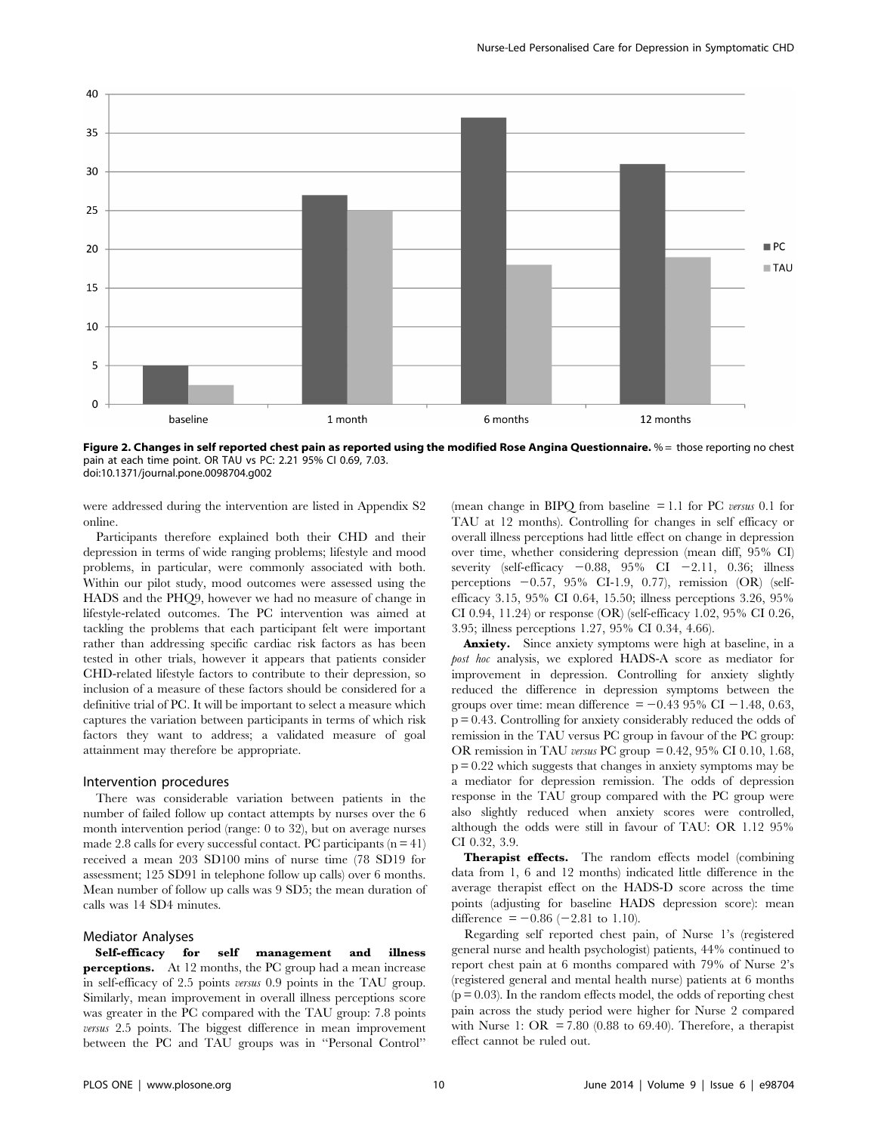

Figure 2. Changes in self reported chest pain as reported using the modified Rose Angina Questionnaire.  $% =$  those reporting no chest pain at each time point. OR TAU vs PC: 2.21 95% CI 0.69, 7.03. doi:10.1371/journal.pone.0098704.g002

were addressed during the intervention are listed in Appendix S2 online.

Participants therefore explained both their CHD and their depression in terms of wide ranging problems; lifestyle and mood problems, in particular, were commonly associated with both. Within our pilot study, mood outcomes were assessed using the HADS and the PHQ9, however we had no measure of change in lifestyle-related outcomes. The PC intervention was aimed at tackling the problems that each participant felt were important rather than addressing specific cardiac risk factors as has been tested in other trials, however it appears that patients consider CHD-related lifestyle factors to contribute to their depression, so inclusion of a measure of these factors should be considered for a definitive trial of PC. It will be important to select a measure which captures the variation between participants in terms of which risk factors they want to address; a validated measure of goal attainment may therefore be appropriate.

## Intervention procedures

There was considerable variation between patients in the number of failed follow up contact attempts by nurses over the 6 month intervention period (range: 0 to 32), but on average nurses made 2.8 calls for every successful contact. PC participants  $(n = 41)$ received a mean 203 SD100 mins of nurse time (78 SD19 for assessment; 125 SD91 in telephone follow up calls) over 6 months. Mean number of follow up calls was 9 SD5; the mean duration of calls was 14 SD4 minutes.

# Mediator Analyses

Self-efficacy for self management and illness perceptions. At 12 months, the PC group had a mean increase in self-efficacy of 2.5 points versus 0.9 points in the TAU group. Similarly, mean improvement in overall illness perceptions score was greater in the PC compared with the TAU group: 7.8 points versus 2.5 points. The biggest difference in mean improvement between the PC and TAU groups was in ''Personal Control''

(mean change in BIPO from baseline  $= 1.1$  for PC versus 0.1 for TAU at 12 months). Controlling for changes in self efficacy or overall illness perceptions had little effect on change in depression over time, whether considering depression (mean diff, 95% CI) severity (self-efficacy  $-0.88$ ,  $95\%$  CI  $-2.11$ , 0.36; illness perceptions  $-0.57$ ,  $95\%$  CI-1.9, 0.77), remission (OR) (selfefficacy 3.15, 95% CI 0.64, 15.50; illness perceptions 3.26, 95% CI 0.94, 11.24) or response (OR) (self-efficacy 1.02, 95% CI 0.26, 3.95; illness perceptions 1.27, 95% CI 0.34, 4.66).

Anxiety. Since anxiety symptoms were high at baseline, in a post hoc analysis, we explored HADS-A score as mediator for improvement in depression. Controlling for anxiety slightly reduced the difference in depression symptoms between the groups over time: mean difference  $= -0.4395\%$  CI  $-1.48, 0.63,$ p = 0.43. Controlling for anxiety considerably reduced the odds of remission in the TAU versus PC group in favour of the PC group: OR remission in TAU versus PC group  $= 0.42, 95\%$  CI 0.10, 1.68,  $p = 0.22$  which suggests that changes in anxiety symptoms may be a mediator for depression remission. The odds of depression response in the TAU group compared with the PC group were also slightly reduced when anxiety scores were controlled, although the odds were still in favour of TAU: OR 1.12 95% CI 0.32, 3.9.

Therapist effects. The random effects model (combining data from 1, 6 and 12 months) indicated little difference in the average therapist effect on the HADS-D score across the time points (adjusting for baseline HADS depression score): mean difference  $= -0.86$  ( $-2.81$  to 1.10).

Regarding self reported chest pain, of Nurse 1's (registered general nurse and health psychologist) patients, 44% continued to report chest pain at 6 months compared with 79% of Nurse 2's (registered general and mental health nurse) patients at 6 months  $(p = 0.03)$ . In the random effects model, the odds of reporting chest pain across the study period were higher for Nurse 2 compared with Nurse 1: OR = 7.80 (0.88 to 69.40). Therefore, a therapist effect cannot be ruled out.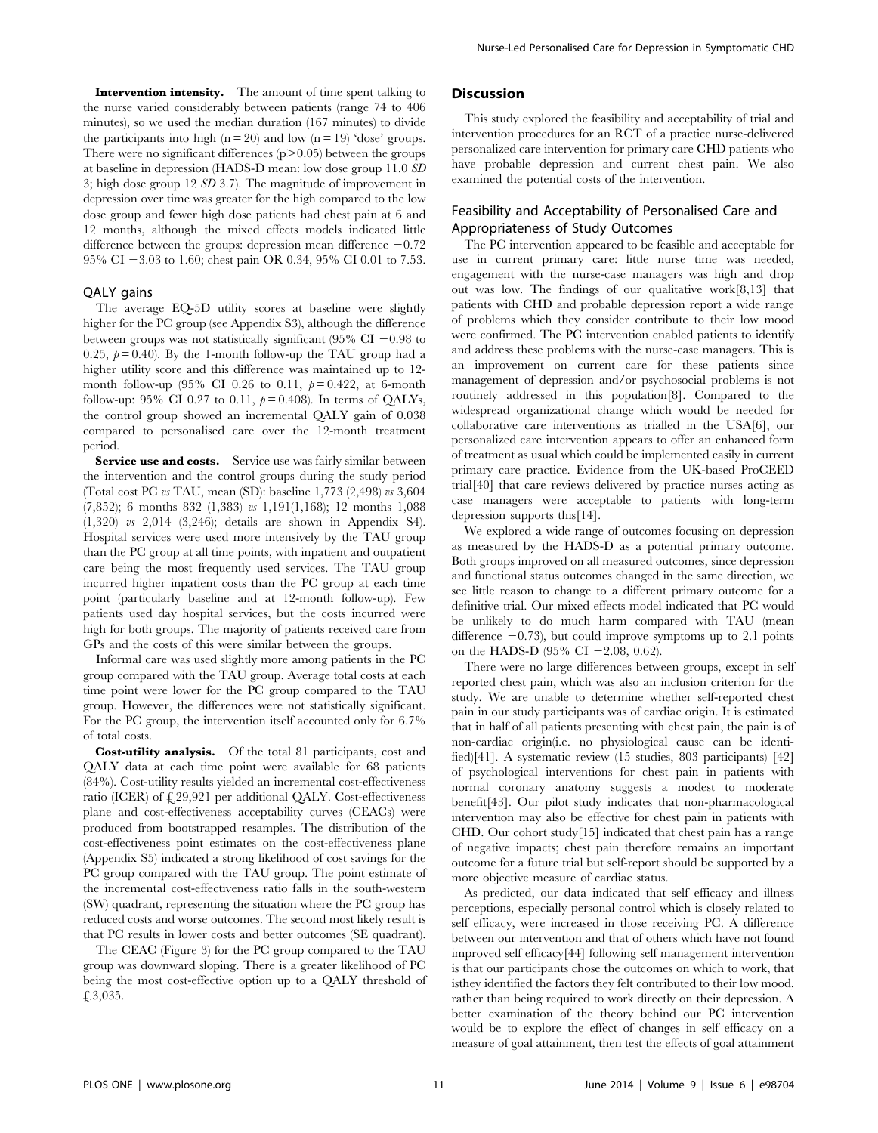Intervention intensity. The amount of time spent talking to the nurse varied considerably between patients (range 74 to 406 minutes), so we used the median duration (167 minutes) to divide the participants into high  $(n = 20)$  and low  $(n = 19)$  'dose' groups. There were no significant differences  $(p>0.05)$  between the groups at baseline in depression (HADS-D mean: low dose group 11.0 SD 3; high dose group 12 SD 3.7). The magnitude of improvement in depression over time was greater for the high compared to the low dose group and fewer high dose patients had chest pain at 6 and 12 months, although the mixed effects models indicated little difference between the groups: depression mean difference  $-0.72$ 95% CI  $-3.03$  to 1.60; chest pain OR 0.34, 95% CI 0.01 to 7.53.

# QALY gains

The average EQ-5D utility scores at baseline were slightly higher for the PC group (see Appendix S3), although the difference between groups was not statistically significant (95% CI  $-0.98$  to 0.25,  $p = 0.40$ ). By the 1-month follow-up the TAU group had a higher utility score and this difference was maintained up to 12 month follow-up  $(95\% \text{ CI } 0.26 \text{ to } 0.11, p=0.422, \text{ at } 6\text{-month})$ follow-up: 95% CI 0.27 to 0.11,  $p = 0.408$ ). In terms of QALYs, the control group showed an incremental QALY gain of 0.038 compared to personalised care over the 12-month treatment period.

Service use and costs. Service use was fairly similar between the intervention and the control groups during the study period (Total cost PC vs TAU, mean (SD): baseline 1,773 (2,498) vs 3,604 (7,852); 6 months 832 (1,383) vs 1,191(1,168); 12 months 1,088 (1,320) vs 2,014 (3,246); details are shown in Appendix S4). Hospital services were used more intensively by the TAU group than the PC group at all time points, with inpatient and outpatient care being the most frequently used services. The TAU group incurred higher inpatient costs than the PC group at each time point (particularly baseline and at 12-month follow-up). Few patients used day hospital services, but the costs incurred were high for both groups. The majority of patients received care from GPs and the costs of this were similar between the groups.

Informal care was used slightly more among patients in the PC group compared with the TAU group. Average total costs at each time point were lower for the PC group compared to the TAU group. However, the differences were not statistically significant. For the PC group, the intervention itself accounted only for 6.7% of total costs.

Cost-utility analysis. Of the total 81 participants, cost and QALY data at each time point were available for 68 patients (84%). Cost-utility results yielded an incremental cost-effectiveness ratio (ICER) of £29,921 per additional QALY. Cost-effectiveness plane and cost-effectiveness acceptability curves (CEACs) were produced from bootstrapped resamples. The distribution of the cost-effectiveness point estimates on the cost-effectiveness plane (Appendix S5) indicated a strong likelihood of cost savings for the PC group compared with the TAU group. The point estimate of the incremental cost-effectiveness ratio falls in the south-western (SW) quadrant, representing the situation where the PC group has reduced costs and worse outcomes. The second most likely result is that PC results in lower costs and better outcomes (SE quadrant).

The CEAC (Figure 3) for the PC group compared to the TAU group was downward sloping. There is a greater likelihood of PC being the most cost-effective option up to a QALY threshold of  $\text{\textsterling}, 3,035.$ 

# Discussion

This study explored the feasibility and acceptability of trial and intervention procedures for an RCT of a practice nurse-delivered personalized care intervention for primary care CHD patients who have probable depression and current chest pain. We also examined the potential costs of the intervention.

# Feasibility and Acceptability of Personalised Care and Appropriateness of Study Outcomes

The PC intervention appeared to be feasible and acceptable for use in current primary care: little nurse time was needed, engagement with the nurse-case managers was high and drop out was low. The findings of our qualitative work[8,13] that patients with CHD and probable depression report a wide range of problems which they consider contribute to their low mood were confirmed. The PC intervention enabled patients to identify and address these problems with the nurse-case managers. This is an improvement on current care for these patients since management of depression and/or psychosocial problems is not routinely addressed in this population[8]. Compared to the widespread organizational change which would be needed for collaborative care interventions as trialled in the USA[6], our personalized care intervention appears to offer an enhanced form of treatment as usual which could be implemented easily in current primary care practice. Evidence from the UK-based ProCEED trial[40] that care reviews delivered by practice nurses acting as case managers were acceptable to patients with long-term depression supports this[14].

We explored a wide range of outcomes focusing on depression as measured by the HADS-D as a potential primary outcome. Both groups improved on all measured outcomes, since depression and functional status outcomes changed in the same direction, we see little reason to change to a different primary outcome for a definitive trial. Our mixed effects model indicated that PC would be unlikely to do much harm compared with TAU (mean difference  $-0.73$ ), but could improve symptoms up to 2.1 points on the HADS-D (95% CI  $-2.08$ , 0.62).

There were no large differences between groups, except in self reported chest pain, which was also an inclusion criterion for the study. We are unable to determine whether self-reported chest pain in our study participants was of cardiac origin. It is estimated that in half of all patients presenting with chest pain, the pain is of non-cardiac origin(i.e. no physiological cause can be identified)[41]. A systematic review (15 studies, 803 participants) [42] of psychological interventions for chest pain in patients with normal coronary anatomy suggests a modest to moderate benefit[43]. Our pilot study indicates that non-pharmacological intervention may also be effective for chest pain in patients with CHD. Our cohort study[15] indicated that chest pain has a range of negative impacts; chest pain therefore remains an important outcome for a future trial but self-report should be supported by a more objective measure of cardiac status.

As predicted, our data indicated that self efficacy and illness perceptions, especially personal control which is closely related to self efficacy, were increased in those receiving PC. A difference between our intervention and that of others which have not found improved self efficacy[44] following self management intervention is that our participants chose the outcomes on which to work, that isthey identified the factors they felt contributed to their low mood, rather than being required to work directly on their depression. A better examination of the theory behind our PC intervention would be to explore the effect of changes in self efficacy on a measure of goal attainment, then test the effects of goal attainment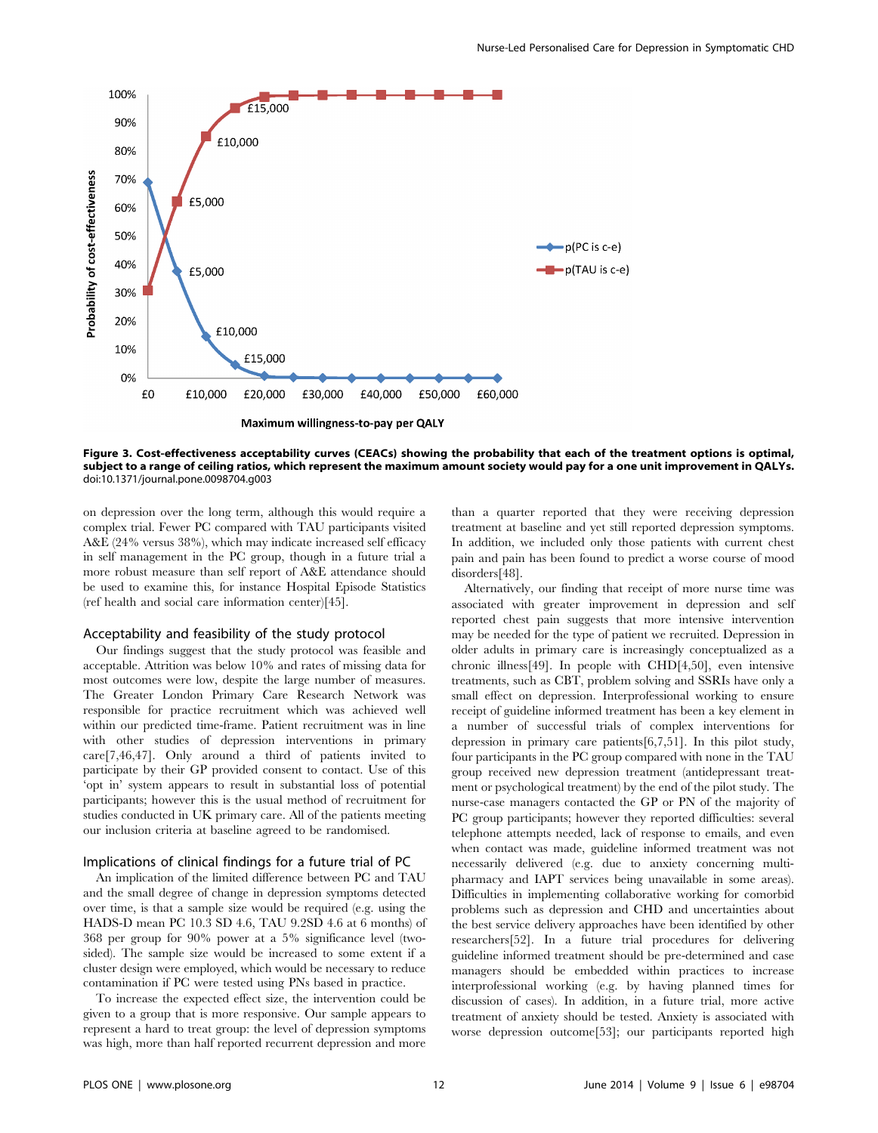

Figure 3. Cost-effectiveness acceptability curves (CEACs) showing the probability that each of the treatment options is optimal, subject to a range of ceiling ratios, which represent the maximum amount society would pay for a one unit improvement in QALYs. doi:10.1371/journal.pone.0098704.g003

on depression over the long term, although this would require a complex trial. Fewer PC compared with TAU participants visited A&E (24% versus 38%), which may indicate increased self efficacy in self management in the PC group, though in a future trial a more robust measure than self report of A&E attendance should be used to examine this, for instance Hospital Episode Statistics (ref health and social care information center)[45].

## Acceptability and feasibility of the study protocol

Our findings suggest that the study protocol was feasible and acceptable. Attrition was below 10% and rates of missing data for most outcomes were low, despite the large number of measures. The Greater London Primary Care Research Network was responsible for practice recruitment which was achieved well within our predicted time-frame. Patient recruitment was in line with other studies of depression interventions in primary care[7,46,47]. Only around a third of patients invited to participate by their GP provided consent to contact. Use of this 'opt in' system appears to result in substantial loss of potential participants; however this is the usual method of recruitment for studies conducted in UK primary care. All of the patients meeting our inclusion criteria at baseline agreed to be randomised.

# Implications of clinical findings for a future trial of PC

An implication of the limited difference between PC and TAU and the small degree of change in depression symptoms detected over time, is that a sample size would be required (e.g. using the HADS-D mean PC 10.3 SD 4.6, TAU 9.2SD 4.6 at 6 months) of 368 per group for 90% power at a 5% significance level (twosided). The sample size would be increased to some extent if a cluster design were employed, which would be necessary to reduce contamination if PC were tested using PNs based in practice.

To increase the expected effect size, the intervention could be given to a group that is more responsive. Our sample appears to represent a hard to treat group: the level of depression symptoms was high, more than half reported recurrent depression and more

than a quarter reported that they were receiving depression treatment at baseline and yet still reported depression symptoms. In addition, we included only those patients with current chest pain and pain has been found to predict a worse course of mood disorders[48].

Alternatively, our finding that receipt of more nurse time was associated with greater improvement in depression and self reported chest pain suggests that more intensive intervention may be needed for the type of patient we recruited. Depression in older adults in primary care is increasingly conceptualized as a chronic illness[49]. In people with CHD[4,50], even intensive treatments, such as CBT, problem solving and SSRIs have only a small effect on depression. Interprofessional working to ensure receipt of guideline informed treatment has been a key element in a number of successful trials of complex interventions for depression in primary care patients[6,7,51]. In this pilot study, four participants in the PC group compared with none in the TAU group received new depression treatment (antidepressant treatment or psychological treatment) by the end of the pilot study. The nurse-case managers contacted the GP or PN of the majority of PC group participants; however they reported difficulties: several telephone attempts needed, lack of response to emails, and even when contact was made, guideline informed treatment was not necessarily delivered (e.g. due to anxiety concerning multipharmacy and IAPT services being unavailable in some areas). Difficulties in implementing collaborative working for comorbid problems such as depression and CHD and uncertainties about the best service delivery approaches have been identified by other researchers[52]. In a future trial procedures for delivering guideline informed treatment should be pre-determined and case managers should be embedded within practices to increase interprofessional working (e.g. by having planned times for discussion of cases). In addition, in a future trial, more active treatment of anxiety should be tested. Anxiety is associated with worse depression outcome[53]; our participants reported high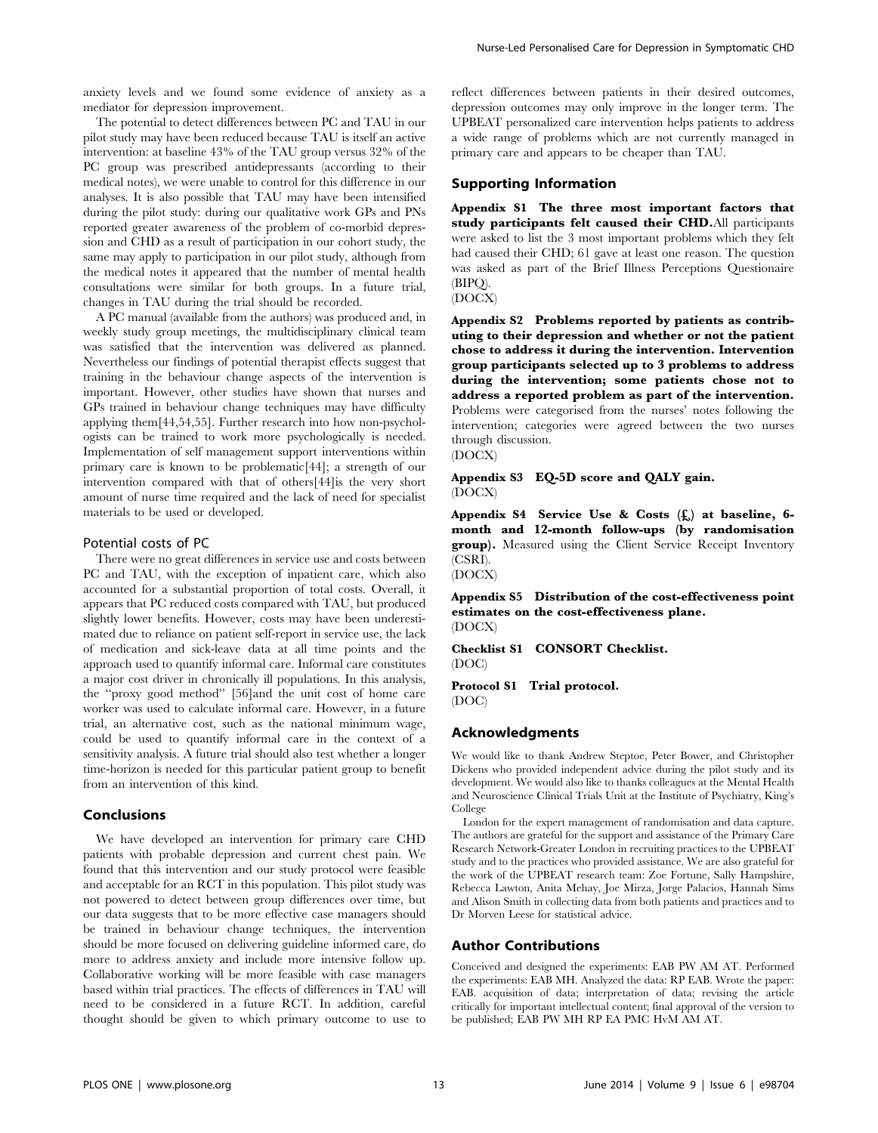anxiety levels and we found some evidence of anxiety as a mediator for depression improvement.

The potential to detect differences between PC and TAU in our pilot study may have been reduced because TAU is itself an active intervention: at baseline 43% of the TAU group versus 32% of the PC group was prescribed antidepressants (according to their medical notes), we were unable to control for this difference in our analyses. It is also possible that TAU may have been intensified during the pilot study: during our qualitative work GPs and PNs reported greater awareness of the problem of co-morbid depression and CHD as a result of participation in our cohort study, the same may apply to participation in our pilot study, although from the medical notes it appeared that the number of mental health consultations were similar for both groups. In a future trial, changes in TAU during the trial should be recorded.

A PC manual (available from the authors) was produced and, in weekly study group meetings, the multidisciplinary clinical team was satisfied that the intervention was delivered as planned. Nevertheless our findings of potential therapist effects suggest that training in the behaviour change aspects of the intervention is important. However, other studies have shown that nurses and GPs trained in behaviour change techniques may have difficulty applying them[44,54,55]. Further research into how non-psychologists can be trained to work more psychologically is needed. Implementation of self management support interventions within primary care is known to be problematic[44]; a strength of our intervention compared with that of others[44]is the very short amount of nurse time required and the lack of need for specialist materials to be used or developed.

#### Potential costs of PC

There were no great differences in service use and costs between PC and TAU, with the exception of inpatient care, which also accounted for a substantial proportion of total costs. Overall, it appears that PC reduced costs compared with TAU, but produced slightly lower benefits. However, costs may have been underestimated due to reliance on patient self-report in service use, the lack of medication and sick-leave data at all time points and the approach used to quantify informal care. Informal care constitutes a major cost driver in chronically ill populations. In this analysis, the ''proxy good method'' [56]and the unit cost of home care worker was used to calculate informal care. However, in a future trial, an alternative cost, such as the national minimum wage, could be used to quantify informal care in the context of a sensitivity analysis. A future trial should also test whether a longer time-horizon is needed for this particular patient group to benefit from an intervention of this kind.

## Conclusions

We have developed an intervention for primary care CHD patients with probable depression and current chest pain. We found that this intervention and our study protocol were feasible and acceptable for an RCT in this population. This pilot study was not powered to detect between group differences over time, but our data suggests that to be more effective case managers should be trained in behaviour change techniques, the intervention should be more focused on delivering guideline informed care, do more to address anxiety and include more intensive follow up. Collaborative working will be more feasible with case managers based within trial practices. The effects of differences in TAU will need to be considered in a future RCT. In addition, careful thought should be given to which primary outcome to use to reflect differences between patients in their desired outcomes, depression outcomes may only improve in the longer term. The UPBEAT personalized care intervention helps patients to address a wide range of problems which are not currently managed in primary care and appears to be cheaper than TAU.

## Supporting Information

Appendix S1 The three most important factors that study participants felt caused their CHD.All participants were asked to list the 3 most important problems which they felt had caused their CHD; 61 gave at least one reason. The question was asked as part of the Brief Illness Perceptions Questionaire (BIPQ).



Appendix S2 Problems reported by patients as contributing to their depression and whether or not the patient chose to address it during the intervention. Intervention group participants selected up to 3 problems to address during the intervention; some patients chose not to address a reported problem as part of the intervention. Problems were categorised from the nurses' notes following the intervention; categories were agreed between the two nurses through discussion.

(DOCX)

Appendix S3 EQ-5D score and QALY gain. (DOCX)

Appendix S4 Service Use & Costs (£) at baseline, 6 month and 12-month follow-ups (by randomisation group). Measured using the Client Service Receipt Inventory (CSRI).

(DOCX)

Appendix S5 Distribution of the cost-effectiveness point estimates on the cost-effectiveness plane. (DOCX)

Checklist S1 CONSORT Checklist.

(DOC)

Protocol S1 Trial protocol. (DOC)

# Acknowledgments

We would like to thank Andrew Steptoe, Peter Bower, and Christopher Dickens who provided independent advice during the pilot study and its development. We would also like to thanks colleagues at the Mental Health and Neuroscience Clinical Trials Unit at the Institute of Psychiatry, King's College

London for the expert management of randomisation and data capture. The authors are grateful for the support and assistance of the Primary Care Research Network-Greater London in recruiting practices to the UPBEAT study and to the practices who provided assistance. We are also grateful for the work of the UPBEAT research team: Zoe Fortune, Sally Hampshire, Rebecca Lawton, Anita Mehay, Joe Mirza, Jorge Palacios, Hannah Sims and Alison Smith in collecting data from both patients and practices and to Dr Morven Leese for statistical advice.

## Author Contributions

Conceived and designed the experiments: EAB PW AM AT. Performed the experiments: EAB MH. Analyzed the data: RP EAB. Wrote the paper: EAB. acquisition of data; interpretation of data; revising the article critically for important intellectual content; final approval of the version to be published; EAB PW MH RP EA PMC HvM AM AT.